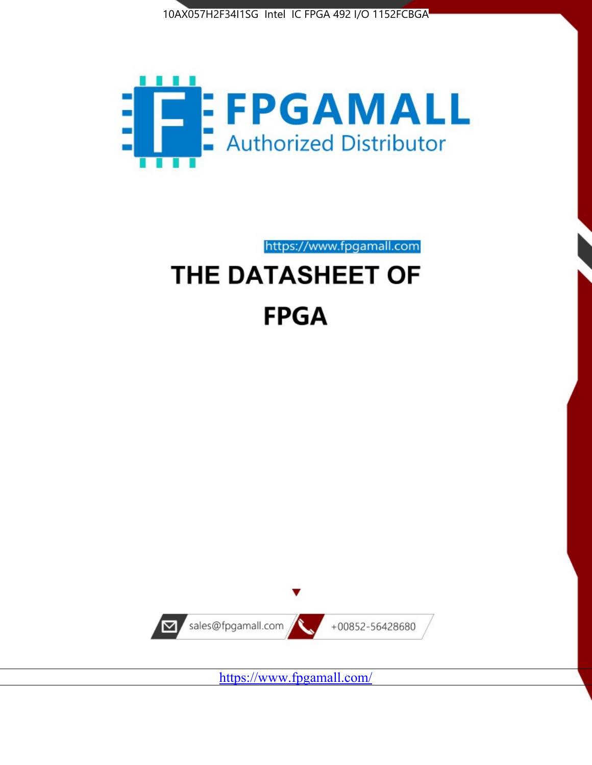



https://www.fpgamall.com

# THE DATASHEET OF **FPGA**



<https://www.fpgamall.com/>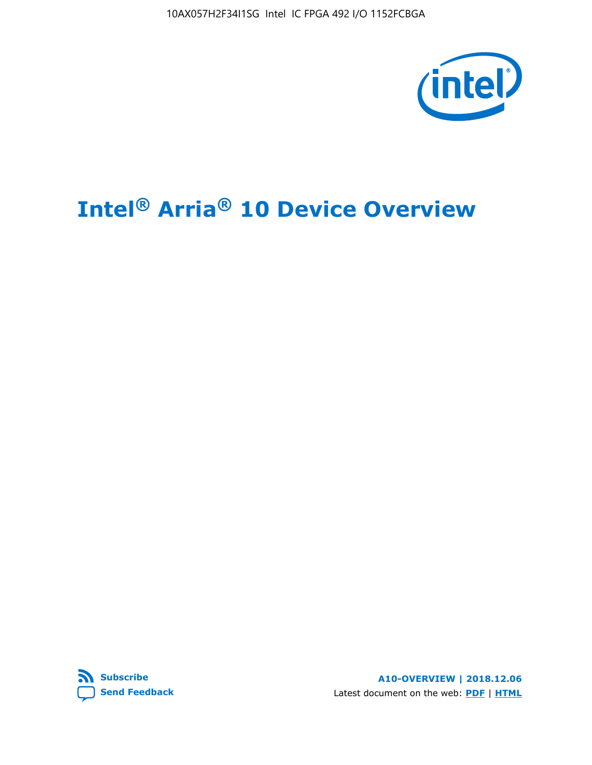10AX057H2F34I1SG Intel IC FPGA 492 I/O 1152FCBGA



# **Intel® Arria® 10 Device Overview**



**A10-OVERVIEW | 2018.12.06** Latest document on the web: **[PDF](https://www.intel.com/content/dam/www/programmable/us/en/pdfs/literature/hb/arria-10/a10_overview.pdf)** | **[HTML](https://www.intel.com/content/www/us/en/programmable/documentation/sam1403480274650.html)**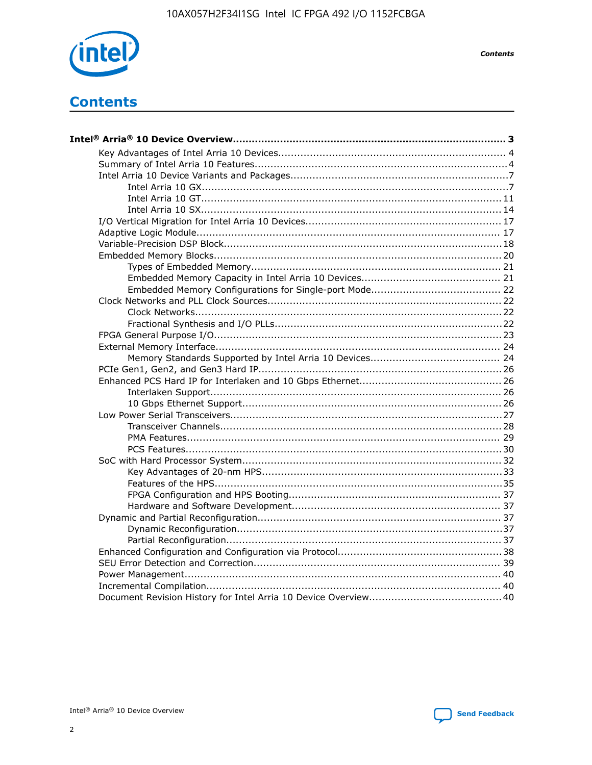

**Contents** 

# **Contents**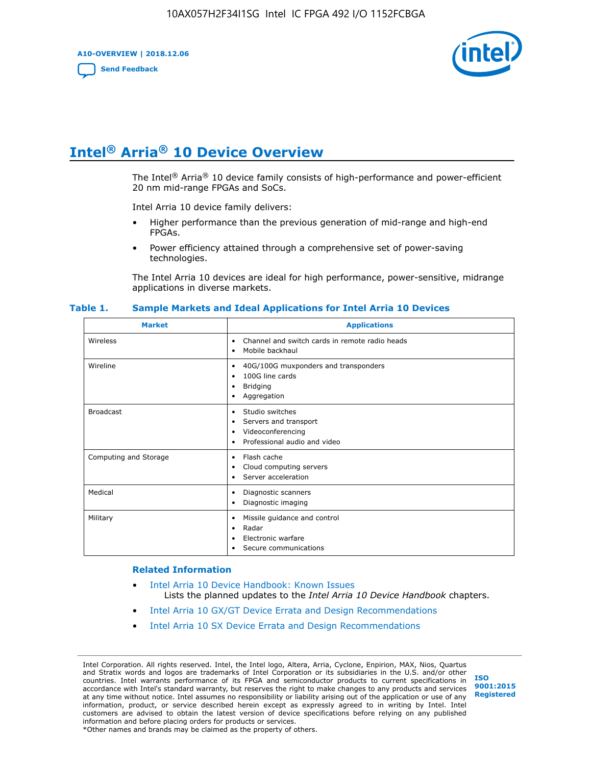**A10-OVERVIEW | 2018.12.06**

**[Send Feedback](mailto:FPGAtechdocfeedback@intel.com?subject=Feedback%20on%20Intel%20Arria%2010%20Device%20Overview%20(A10-OVERVIEW%202018.12.06)&body=We%20appreciate%20your%20feedback.%20In%20your%20comments,%20also%20specify%20the%20page%20number%20or%20paragraph.%20Thank%20you.)**



# **Intel® Arria® 10 Device Overview**

The Intel<sup>®</sup> Arria<sup>®</sup> 10 device family consists of high-performance and power-efficient 20 nm mid-range FPGAs and SoCs.

Intel Arria 10 device family delivers:

- Higher performance than the previous generation of mid-range and high-end FPGAs.
- Power efficiency attained through a comprehensive set of power-saving technologies.

The Intel Arria 10 devices are ideal for high performance, power-sensitive, midrange applications in diverse markets.

| <b>Market</b>         | <b>Applications</b>                                                                                               |
|-----------------------|-------------------------------------------------------------------------------------------------------------------|
| Wireless              | Channel and switch cards in remote radio heads<br>٠<br>Mobile backhaul<br>٠                                       |
| Wireline              | 40G/100G muxponders and transponders<br>٠<br>100G line cards<br>٠<br><b>Bridging</b><br>٠<br>Aggregation<br>٠     |
| <b>Broadcast</b>      | Studio switches<br>٠<br>Servers and transport<br>٠<br>Videoconferencing<br>٠<br>Professional audio and video<br>٠ |
| Computing and Storage | Flash cache<br>٠<br>Cloud computing servers<br>٠<br>Server acceleration<br>٠                                      |
| Medical               | Diagnostic scanners<br>٠<br>Diagnostic imaging<br>٠                                                               |
| Military              | Missile guidance and control<br>٠<br>Radar<br>٠<br>Electronic warfare<br>٠<br>Secure communications<br>٠          |

#### **Table 1. Sample Markets and Ideal Applications for Intel Arria 10 Devices**

#### **Related Information**

- [Intel Arria 10 Device Handbook: Known Issues](http://www.altera.com/support/kdb/solutions/rd07302013_646.html) Lists the planned updates to the *Intel Arria 10 Device Handbook* chapters.
- [Intel Arria 10 GX/GT Device Errata and Design Recommendations](https://www.intel.com/content/www/us/en/programmable/documentation/agz1493851706374.html#yqz1494433888646)
- [Intel Arria 10 SX Device Errata and Design Recommendations](https://www.intel.com/content/www/us/en/programmable/documentation/cru1462832385668.html#cru1462832558642)

Intel Corporation. All rights reserved. Intel, the Intel logo, Altera, Arria, Cyclone, Enpirion, MAX, Nios, Quartus and Stratix words and logos are trademarks of Intel Corporation or its subsidiaries in the U.S. and/or other countries. Intel warrants performance of its FPGA and semiconductor products to current specifications in accordance with Intel's standard warranty, but reserves the right to make changes to any products and services at any time without notice. Intel assumes no responsibility or liability arising out of the application or use of any information, product, or service described herein except as expressly agreed to in writing by Intel. Intel customers are advised to obtain the latest version of device specifications before relying on any published information and before placing orders for products or services. \*Other names and brands may be claimed as the property of others.

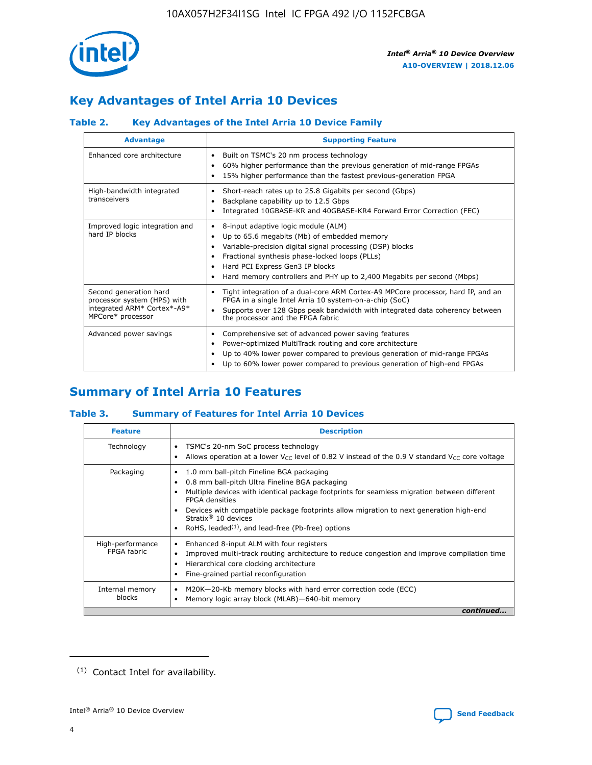

# **Key Advantages of Intel Arria 10 Devices**

## **Table 2. Key Advantages of the Intel Arria 10 Device Family**

| <b>Advantage</b>                                                                                          | <b>Supporting Feature</b>                                                                                                                                                                                                                                                                                                |  |  |  |  |  |  |
|-----------------------------------------------------------------------------------------------------------|--------------------------------------------------------------------------------------------------------------------------------------------------------------------------------------------------------------------------------------------------------------------------------------------------------------------------|--|--|--|--|--|--|
| Enhanced core architecture                                                                                | Built on TSMC's 20 nm process technology<br>٠<br>60% higher performance than the previous generation of mid-range FPGAs<br>٠<br>15% higher performance than the fastest previous-generation FPGA<br>٠                                                                                                                    |  |  |  |  |  |  |
| High-bandwidth integrated<br>transceivers                                                                 | Short-reach rates up to 25.8 Gigabits per second (Gbps)<br>٠<br>Backplane capability up to 12.5 Gbps<br>٠<br>Integrated 10GBASE-KR and 40GBASE-KR4 Forward Error Correction (FEC)<br>٠                                                                                                                                   |  |  |  |  |  |  |
| Improved logic integration and<br>hard IP blocks                                                          | 8-input adaptive logic module (ALM)<br>٠<br>Up to 65.6 megabits (Mb) of embedded memory<br>٠<br>Variable-precision digital signal processing (DSP) blocks<br>Fractional synthesis phase-locked loops (PLLs)<br>Hard PCI Express Gen3 IP blocks<br>Hard memory controllers and PHY up to 2,400 Megabits per second (Mbps) |  |  |  |  |  |  |
| Second generation hard<br>processor system (HPS) with<br>integrated ARM* Cortex*-A9*<br>MPCore* processor | Tight integration of a dual-core ARM Cortex-A9 MPCore processor, hard IP, and an<br>٠<br>FPGA in a single Intel Arria 10 system-on-a-chip (SoC)<br>Supports over 128 Gbps peak bandwidth with integrated data coherency between<br>$\bullet$<br>the processor and the FPGA fabric                                        |  |  |  |  |  |  |
| Advanced power savings                                                                                    | Comprehensive set of advanced power saving features<br>٠<br>Power-optimized MultiTrack routing and core architecture<br>٠<br>Up to 40% lower power compared to previous generation of mid-range FPGAs<br>٠<br>Up to 60% lower power compared to previous generation of high-end FPGAs                                    |  |  |  |  |  |  |

# **Summary of Intel Arria 10 Features**

## **Table 3. Summary of Features for Intel Arria 10 Devices**

| <b>Feature</b>                  | <b>Description</b>                                                                                                                                                                                                                                                                                                                                                                                       |
|---------------------------------|----------------------------------------------------------------------------------------------------------------------------------------------------------------------------------------------------------------------------------------------------------------------------------------------------------------------------------------------------------------------------------------------------------|
| Technology                      | TSMC's 20-nm SoC process technology<br>٠<br>Allows operation at a lower $V_{\text{CC}}$ level of 0.82 V instead of the 0.9 V standard $V_{\text{CC}}$ core voltage                                                                                                                                                                                                                                       |
| Packaging                       | 1.0 mm ball-pitch Fineline BGA packaging<br>0.8 mm ball-pitch Ultra Fineline BGA packaging<br>Multiple devices with identical package footprints for seamless migration between different<br><b>FPGA</b> densities<br>Devices with compatible package footprints allow migration to next generation high-end<br>Stratix $\mathcal{R}$ 10 devices<br>RoHS, leaded $(1)$ , and lead-free (Pb-free) options |
| High-performance<br>FPGA fabric | Enhanced 8-input ALM with four registers<br>٠<br>Improved multi-track routing architecture to reduce congestion and improve compilation time<br>Hierarchical core clocking architecture<br>Fine-grained partial reconfiguration                                                                                                                                                                          |
| Internal memory<br>blocks       | M20K-20-Kb memory blocks with hard error correction code (ECC)<br>Memory logic array block (MLAB)-640-bit memory                                                                                                                                                                                                                                                                                         |
|                                 | continued                                                                                                                                                                                                                                                                                                                                                                                                |



<sup>(1)</sup> Contact Intel for availability.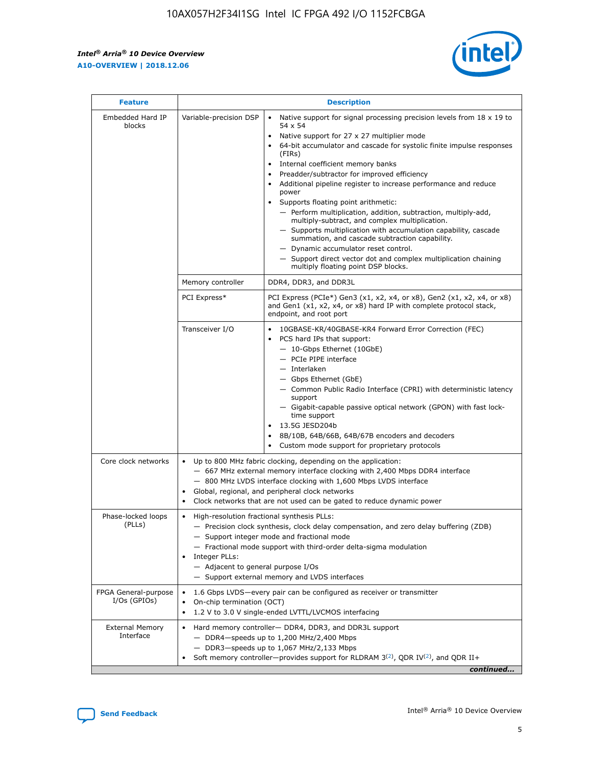$\mathbf{r}$ 



| <b>Feature</b>                         |                                                                                                        | <b>Description</b>                                                                                                                                                                                                                                                                                                                                                                                                                                                                                                                                                                                                                                                                                                                                                                                                                                                            |  |  |  |  |  |  |
|----------------------------------------|--------------------------------------------------------------------------------------------------------|-------------------------------------------------------------------------------------------------------------------------------------------------------------------------------------------------------------------------------------------------------------------------------------------------------------------------------------------------------------------------------------------------------------------------------------------------------------------------------------------------------------------------------------------------------------------------------------------------------------------------------------------------------------------------------------------------------------------------------------------------------------------------------------------------------------------------------------------------------------------------------|--|--|--|--|--|--|
| Embedded Hard IP<br>blocks             | Variable-precision DSP                                                                                 | Native support for signal processing precision levels from $18 \times 19$ to<br>$\bullet$<br>54 x 54<br>Native support for 27 x 27 multiplier mode<br>$\bullet$<br>64-bit accumulator and cascade for systolic finite impulse responses<br>$\bullet$<br>(FIRs)<br>Internal coefficient memory banks<br>$\bullet$<br>Preadder/subtractor for improved efficiency<br>Additional pipeline register to increase performance and reduce<br>power<br>Supports floating point arithmetic:<br>- Perform multiplication, addition, subtraction, multiply-add,<br>multiply-subtract, and complex multiplication.<br>- Supports multiplication with accumulation capability, cascade<br>summation, and cascade subtraction capability.<br>- Dynamic accumulator reset control.<br>- Support direct vector dot and complex multiplication chaining<br>multiply floating point DSP blocks. |  |  |  |  |  |  |
|                                        | Memory controller                                                                                      | DDR4, DDR3, and DDR3L                                                                                                                                                                                                                                                                                                                                                                                                                                                                                                                                                                                                                                                                                                                                                                                                                                                         |  |  |  |  |  |  |
|                                        | PCI Express*                                                                                           | PCI Express (PCIe*) Gen3 (x1, x2, x4, or x8), Gen2 (x1, x2, x4, or x8)<br>and Gen1 (x1, x2, x4, or x8) hard IP with complete protocol stack,<br>endpoint, and root port                                                                                                                                                                                                                                                                                                                                                                                                                                                                                                                                                                                                                                                                                                       |  |  |  |  |  |  |
|                                        | Transceiver I/O                                                                                        | 10GBASE-KR/40GBASE-KR4 Forward Error Correction (FEC)<br>PCS hard IPs that support:<br>٠<br>- 10-Gbps Ethernet (10GbE)<br>- PCIe PIPE interface<br>- Interlaken<br>- Gbps Ethernet (GbE)<br>- Common Public Radio Interface (CPRI) with deterministic latency<br>support<br>- Gigabit-capable passive optical network (GPON) with fast lock-<br>time support<br>13.5G JESD204b<br>$\bullet$<br>8B/10B, 64B/66B, 64B/67B encoders and decoders<br>$\bullet$<br>Custom mode support for proprietary protocols                                                                                                                                                                                                                                                                                                                                                                   |  |  |  |  |  |  |
| Core clock networks                    | $\bullet$                                                                                              | Up to 800 MHz fabric clocking, depending on the application:<br>- 667 MHz external memory interface clocking with 2,400 Mbps DDR4 interface<br>- 800 MHz LVDS interface clocking with 1,600 Mbps LVDS interface<br>Global, regional, and peripheral clock networks<br>Clock networks that are not used can be gated to reduce dynamic power                                                                                                                                                                                                                                                                                                                                                                                                                                                                                                                                   |  |  |  |  |  |  |
| Phase-locked loops<br>(PLLs)           | High-resolution fractional synthesis PLLs:<br>٠<br>Integer PLLs:<br>- Adjacent to general purpose I/Os | - Precision clock synthesis, clock delay compensation, and zero delay buffering (ZDB)<br>- Support integer mode and fractional mode<br>- Fractional mode support with third-order delta-sigma modulation<br>- Support external memory and LVDS interfaces                                                                                                                                                                                                                                                                                                                                                                                                                                                                                                                                                                                                                     |  |  |  |  |  |  |
| FPGA General-purpose<br>$I/Os$ (GPIOs) | On-chip termination (OCT)<br>٠                                                                         | 1.6 Gbps LVDS-every pair can be configured as receiver or transmitter                                                                                                                                                                                                                                                                                                                                                                                                                                                                                                                                                                                                                                                                                                                                                                                                         |  |  |  |  |  |  |
| <b>External Memory</b><br>Interface    | $\bullet$                                                                                              | 1.2 V to 3.0 V single-ended LVTTL/LVCMOS interfacing<br>Hard memory controller- DDR4, DDR3, and DDR3L support<br>$-$ DDR4 $-$ speeds up to 1,200 MHz/2,400 Mbps<br>- DDR3-speeds up to 1,067 MHz/2,133 Mbps<br>Soft memory controller—provides support for RLDRAM $3^{(2)}$ , QDR IV $^{(2)}$ , and QDR II+<br>continued                                                                                                                                                                                                                                                                                                                                                                                                                                                                                                                                                      |  |  |  |  |  |  |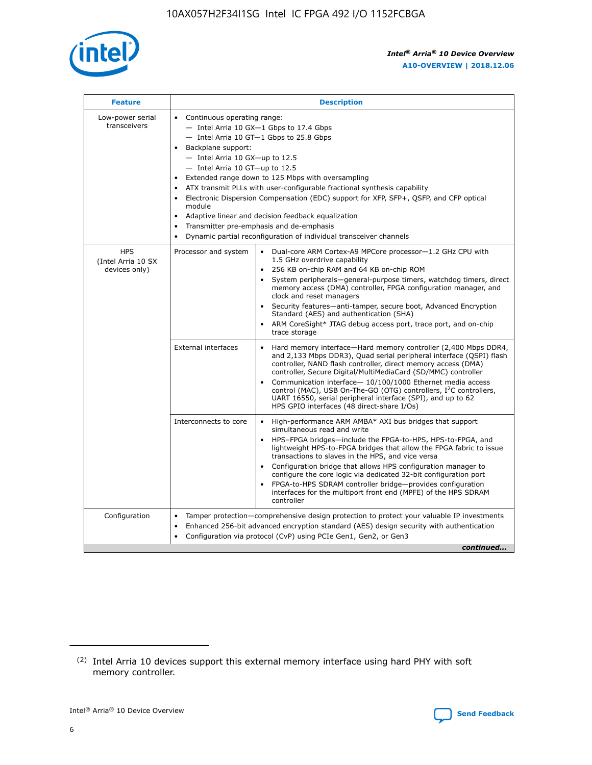

| <b>Feature</b>                                    | <b>Description</b>                                                                                                                                                                                                                                                                                                                                                                                                                                                                                                                                                                                                                         |  |  |  |  |  |  |
|---------------------------------------------------|--------------------------------------------------------------------------------------------------------------------------------------------------------------------------------------------------------------------------------------------------------------------------------------------------------------------------------------------------------------------------------------------------------------------------------------------------------------------------------------------------------------------------------------------------------------------------------------------------------------------------------------------|--|--|--|--|--|--|
| Low-power serial<br>transceivers                  | • Continuous operating range:<br>- Intel Arria 10 GX-1 Gbps to 17.4 Gbps<br>- Intel Arria 10 GT-1 Gbps to 25.8 Gbps<br>Backplane support:<br>$-$ Intel Arria 10 GX-up to 12.5<br>- Intel Arria 10 GT-up to 12.5<br>Extended range down to 125 Mbps with oversampling<br>ATX transmit PLLs with user-configurable fractional synthesis capability<br>Electronic Dispersion Compensation (EDC) support for XFP, SFP+, QSFP, and CFP optical<br>module<br>• Adaptive linear and decision feedback equalization<br>Transmitter pre-emphasis and de-emphasis<br>$\bullet$<br>Dynamic partial reconfiguration of individual transceiver channels |  |  |  |  |  |  |
| <b>HPS</b><br>(Intel Arria 10 SX<br>devices only) | Dual-core ARM Cortex-A9 MPCore processor-1.2 GHz CPU with<br>Processor and system<br>$\bullet$<br>1.5 GHz overdrive capability<br>256 KB on-chip RAM and 64 KB on-chip ROM<br>System peripherals-general-purpose timers, watchdog timers, direct<br>memory access (DMA) controller, FPGA configuration manager, and<br>clock and reset managers<br>Security features-anti-tamper, secure boot, Advanced Encryption<br>$\bullet$<br>Standard (AES) and authentication (SHA)<br>ARM CoreSight* JTAG debug access port, trace port, and on-chip<br>trace storage                                                                              |  |  |  |  |  |  |
|                                                   | <b>External interfaces</b><br>Hard memory interface-Hard memory controller (2,400 Mbps DDR4,<br>$\bullet$<br>and 2,133 Mbps DDR3), Quad serial peripheral interface (QSPI) flash<br>controller, NAND flash controller, direct memory access (DMA)<br>controller, Secure Digital/MultiMediaCard (SD/MMC) controller<br>Communication interface-10/100/1000 Ethernet media access<br>$\bullet$<br>control (MAC), USB On-The-GO (OTG) controllers, I <sup>2</sup> C controllers,<br>UART 16550, serial peripheral interface (SPI), and up to 62<br>HPS GPIO interfaces (48 direct-share I/Os)                                                 |  |  |  |  |  |  |
|                                                   | High-performance ARM AMBA* AXI bus bridges that support<br>Interconnects to core<br>$\bullet$<br>simultaneous read and write<br>HPS-FPGA bridges-include the FPGA-to-HPS, HPS-to-FPGA, and<br>$\bullet$<br>lightweight HPS-to-FPGA bridges that allow the FPGA fabric to issue<br>transactions to slaves in the HPS, and vice versa<br>Configuration bridge that allows HPS configuration manager to<br>configure the core logic via dedicated 32-bit configuration port<br>FPGA-to-HPS SDRAM controller bridge-provides configuration<br>interfaces for the multiport front end (MPFE) of the HPS SDRAM<br>controller                     |  |  |  |  |  |  |
| Configuration                                     | Tamper protection—comprehensive design protection to protect your valuable IP investments<br>Enhanced 256-bit advanced encryption standard (AES) design security with authentication<br>٠<br>Configuration via protocol (CvP) using PCIe Gen1, Gen2, or Gen3<br>continued                                                                                                                                                                                                                                                                                                                                                                  |  |  |  |  |  |  |

<sup>(2)</sup> Intel Arria 10 devices support this external memory interface using hard PHY with soft memory controller.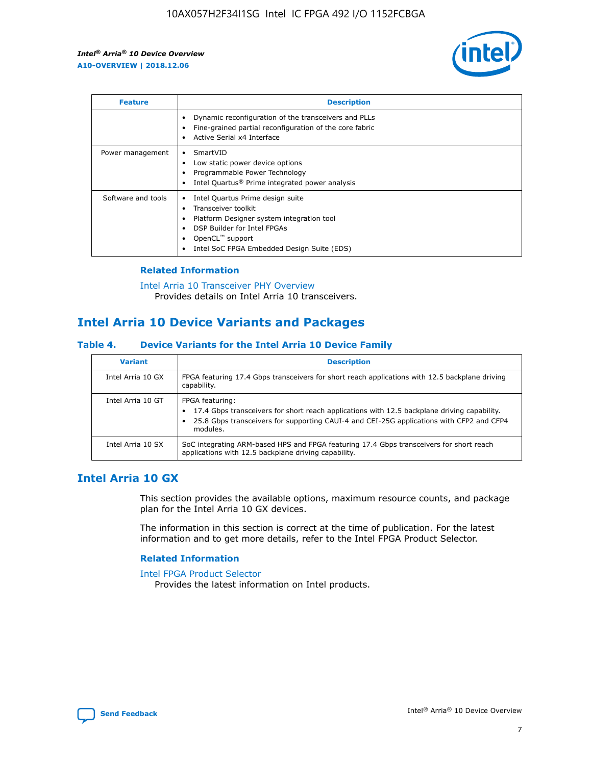

| <b>Feature</b>     | <b>Description</b>                                                                                                                                                                                                            |
|--------------------|-------------------------------------------------------------------------------------------------------------------------------------------------------------------------------------------------------------------------------|
|                    | Dynamic reconfiguration of the transceivers and PLLs<br>Fine-grained partial reconfiguration of the core fabric<br>Active Serial x4 Interface<br>$\bullet$                                                                    |
| Power management   | SmartVID<br>Low static power device options<br>Programmable Power Technology<br>Intel Quartus <sup>®</sup> Prime integrated power analysis                                                                                    |
| Software and tools | Intel Quartus Prime design suite<br>Transceiver toolkit<br>$\bullet$<br>Platform Designer system integration tool<br>DSP Builder for Intel FPGAs<br>OpenCL <sup>"</sup> support<br>Intel SoC FPGA Embedded Design Suite (EDS) |

## **Related Information**

#### [Intel Arria 10 Transceiver PHY Overview](https://www.intel.com/content/www/us/en/programmable/documentation/nik1398707230472.html#nik1398706768037) Provides details on Intel Arria 10 transceivers.

## **Intel Arria 10 Device Variants and Packages**

#### **Table 4. Device Variants for the Intel Arria 10 Device Family**

| <b>Variant</b>    | <b>Description</b>                                                                                                                                                                                                     |
|-------------------|------------------------------------------------------------------------------------------------------------------------------------------------------------------------------------------------------------------------|
| Intel Arria 10 GX | FPGA featuring 17.4 Gbps transceivers for short reach applications with 12.5 backplane driving<br>capability.                                                                                                          |
| Intel Arria 10 GT | FPGA featuring:<br>17.4 Gbps transceivers for short reach applications with 12.5 backplane driving capability.<br>25.8 Gbps transceivers for supporting CAUI-4 and CEI-25G applications with CFP2 and CFP4<br>modules. |
| Intel Arria 10 SX | SoC integrating ARM-based HPS and FPGA featuring 17.4 Gbps transceivers for short reach<br>applications with 12.5 backplane driving capability.                                                                        |

## **Intel Arria 10 GX**

This section provides the available options, maximum resource counts, and package plan for the Intel Arria 10 GX devices.

The information in this section is correct at the time of publication. For the latest information and to get more details, refer to the Intel FPGA Product Selector.

#### **Related Information**

#### [Intel FPGA Product Selector](http://www.altera.com/products/selector/psg-selector.html) Provides the latest information on Intel products.

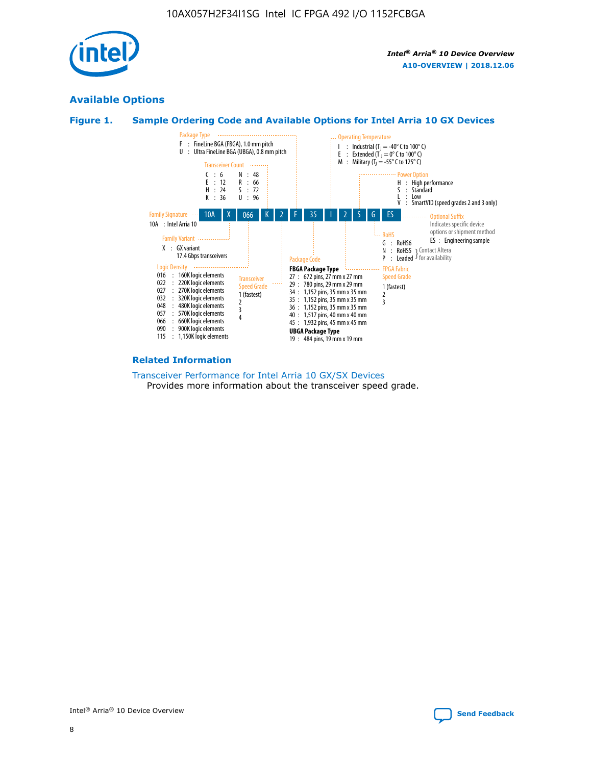

## **Available Options**





#### **Related Information**

[Transceiver Performance for Intel Arria 10 GX/SX Devices](https://www.intel.com/content/www/us/en/programmable/documentation/mcn1413182292568.html#mcn1413213965502) Provides more information about the transceiver speed grade.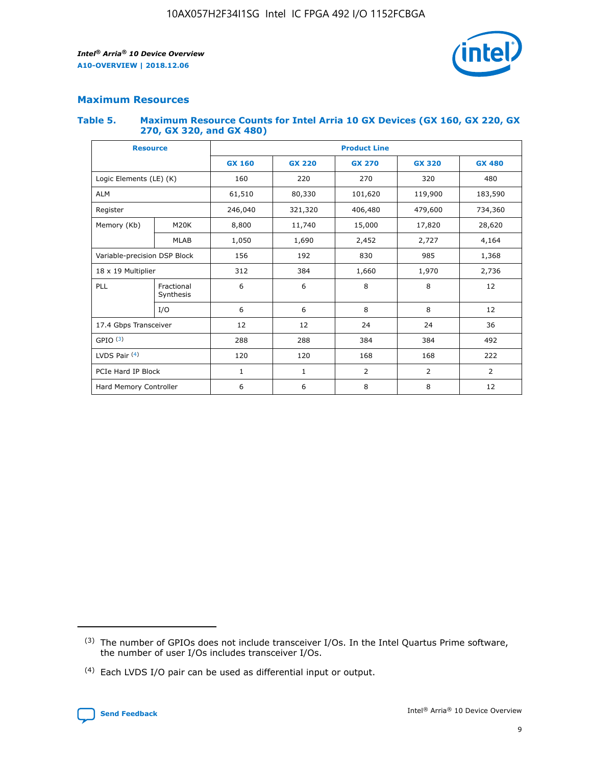

## **Maximum Resources**

#### **Table 5. Maximum Resource Counts for Intel Arria 10 GX Devices (GX 160, GX 220, GX 270, GX 320, and GX 480)**

| <b>Resource</b>         |                              | <b>Product Line</b> |                                                 |                |                |                |  |  |
|-------------------------|------------------------------|---------------------|-------------------------------------------------|----------------|----------------|----------------|--|--|
|                         |                              | <b>GX 160</b>       | <b>GX 220</b><br><b>GX 270</b><br><b>GX 320</b> |                |                | <b>GX 480</b>  |  |  |
| Logic Elements (LE) (K) |                              | 160                 | 220                                             | 270            | 320            | 480            |  |  |
| <b>ALM</b>              |                              | 61,510              | 80,330                                          | 101,620        | 119,900        | 183,590        |  |  |
| Register                |                              | 246,040             | 321,320                                         | 406,480        | 479,600        | 734,360        |  |  |
| Memory (Kb)             | M <sub>20</sub> K            | 8,800               | 11,740                                          | 15,000         | 17,820         | 28,620         |  |  |
|                         | <b>MLAB</b>                  | 1,050               | 1,690                                           | 2,452          | 2,727          | 4,164          |  |  |
|                         | Variable-precision DSP Block |                     | 192                                             | 830<br>985     |                | 1,368          |  |  |
| 18 x 19 Multiplier      |                              | 312                 | 384                                             | 1,970<br>1,660 |                | 2,736          |  |  |
| PLL                     | Fractional<br>Synthesis      | 6                   | 6                                               | 8              | 8              | 12             |  |  |
|                         | I/O                          | 6                   | 6                                               | 8              | 8              | 12             |  |  |
| 17.4 Gbps Transceiver   |                              | 12                  | 12                                              | 24             | 24             | 36             |  |  |
| GPIO <sup>(3)</sup>     |                              | 288                 | 288                                             | 384            | 384            | 492            |  |  |
| LVDS Pair $(4)$         |                              | 120                 | 120                                             | 168            | 168            | 222            |  |  |
| PCIe Hard IP Block      |                              | 1                   | 1                                               | 2              | $\overline{2}$ | $\overline{2}$ |  |  |
| Hard Memory Controller  |                              | 6                   | 6                                               | 8              | 8              | 12             |  |  |

<sup>(4)</sup> Each LVDS I/O pair can be used as differential input or output.



<sup>(3)</sup> The number of GPIOs does not include transceiver I/Os. In the Intel Quartus Prime software, the number of user I/Os includes transceiver I/Os.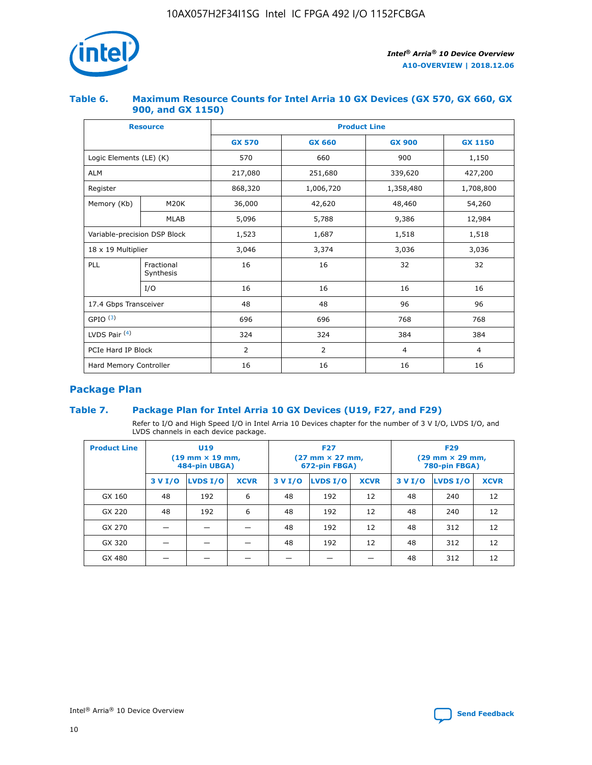

## **Table 6. Maximum Resource Counts for Intel Arria 10 GX Devices (GX 570, GX 660, GX 900, and GX 1150)**

|                              | <b>Resource</b>         | <b>Product Line</b> |               |                |                |  |  |  |
|------------------------------|-------------------------|---------------------|---------------|----------------|----------------|--|--|--|
|                              |                         | <b>GX 570</b>       | <b>GX 660</b> |                | <b>GX 1150</b> |  |  |  |
| Logic Elements (LE) (K)      |                         | 570                 | 660           | 900            | 1,150          |  |  |  |
| <b>ALM</b>                   |                         | 217,080             | 251,680       | 339,620        | 427,200        |  |  |  |
| Register                     |                         | 868,320             | 1,006,720     | 1,358,480      | 1,708,800      |  |  |  |
| Memory (Kb)                  | <b>M20K</b>             |                     | 42,620        | 48,460         | 54,260         |  |  |  |
|                              | <b>MLAB</b>             | 5,096               | 5,788         | 9,386          | 12,984         |  |  |  |
| Variable-precision DSP Block |                         | 1,523               | 1,687         | 1,518          | 1,518          |  |  |  |
| 18 x 19 Multiplier           |                         | 3,046               | 3,374         | 3,036          | 3,036          |  |  |  |
| PLL                          | Fractional<br>Synthesis | 16                  | 16            | 32             | 32             |  |  |  |
|                              | I/O                     | 16                  | 16            | 16             | 16             |  |  |  |
| 17.4 Gbps Transceiver        |                         | 48                  | 48            | 96             | 96             |  |  |  |
| GPIO <sup>(3)</sup>          |                         | 696                 | 696           | 768            | 768            |  |  |  |
| LVDS Pair $(4)$              |                         | 324                 | 324<br>384    |                | 384            |  |  |  |
| PCIe Hard IP Block           |                         | 2                   | 2             | $\overline{4}$ | 4              |  |  |  |
| Hard Memory Controller       |                         | 16                  | 16            | 16             | 16             |  |  |  |

## **Package Plan**

## **Table 7. Package Plan for Intel Arria 10 GX Devices (U19, F27, and F29)**

Refer to I/O and High Speed I/O in Intel Arria 10 Devices chapter for the number of 3 V I/O, LVDS I/O, and LVDS channels in each device package.

| <b>Product Line</b> | <b>U19</b><br>$(19 \text{ mm} \times 19 \text{ mm})$<br>484-pin UBGA) |          |             |         | <b>F27</b><br>(27 mm × 27 mm,<br>672-pin FBGA) |             | <b>F29</b><br>(29 mm × 29 mm,<br>780-pin FBGA) |          |             |  |
|---------------------|-----------------------------------------------------------------------|----------|-------------|---------|------------------------------------------------|-------------|------------------------------------------------|----------|-------------|--|
|                     | 3 V I/O                                                               | LVDS I/O | <b>XCVR</b> | 3 V I/O | LVDS I/O                                       | <b>XCVR</b> | 3 V I/O                                        | LVDS I/O | <b>XCVR</b> |  |
| GX 160              | 48                                                                    | 192      | 6           | 48      | 192                                            | 12          | 48                                             | 240      | 12          |  |
| GX 220              | 48                                                                    | 192      | 6           | 48      | 192                                            | 12          | 48                                             | 240      | 12          |  |
| GX 270              |                                                                       |          |             | 48      | 192                                            | 12          | 48                                             | 312      | 12          |  |
| GX 320              |                                                                       |          |             | 48      | 192                                            | 12          | 48                                             | 312      | 12          |  |
| GX 480              |                                                                       |          |             |         |                                                |             | 48                                             | 312      | 12          |  |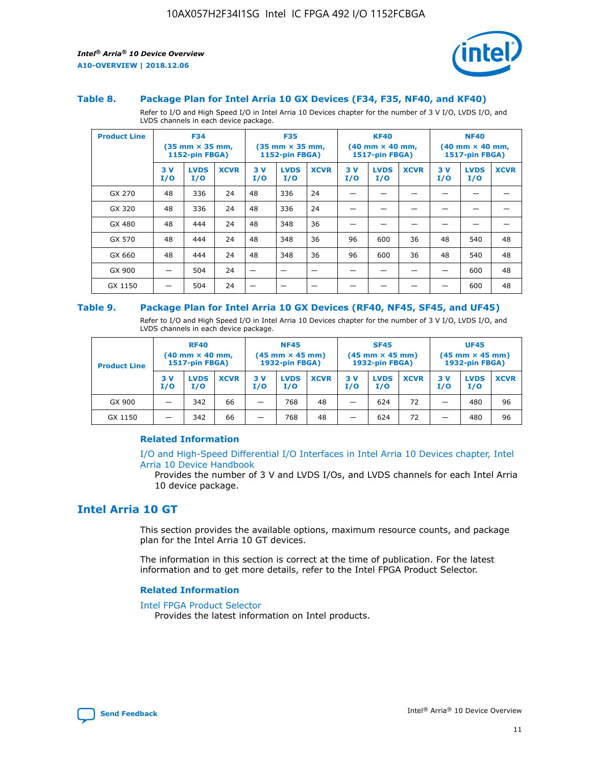

#### **Table 8. Package Plan for Intel Arria 10 GX Devices (F34, F35, NF40, and KF40)**

Refer to I/O and High Speed I/O in Intel Arria 10 Devices chapter for the number of 3 V I/O, LVDS I/O, and LVDS channels in each device package.

| <b>Product Line</b> | <b>F34</b><br>$(35 \text{ mm} \times 35 \text{ mm})$<br><b>1152-pin FBGA)</b> |                    | <b>F35</b><br>$(35 \text{ mm} \times 35 \text{ mm})$<br>1152-pin FBGA) |           | <b>KF40</b><br>$(40$ mm $\times$ 40 mm,<br>1517-pin FBGA) |             |           | <b>NF40</b><br>$(40 \text{ mm} \times 40 \text{ mm})$<br>1517-pin FBGA) |             |           |                    |             |
|---------------------|-------------------------------------------------------------------------------|--------------------|------------------------------------------------------------------------|-----------|-----------------------------------------------------------|-------------|-----------|-------------------------------------------------------------------------|-------------|-----------|--------------------|-------------|
|                     | 3V<br>I/O                                                                     | <b>LVDS</b><br>I/O | <b>XCVR</b>                                                            | 3V<br>I/O | <b>LVDS</b><br>I/O                                        | <b>XCVR</b> | 3V<br>I/O | <b>LVDS</b><br>I/O                                                      | <b>XCVR</b> | 3V<br>I/O | <b>LVDS</b><br>I/O | <b>XCVR</b> |
| GX 270              | 48                                                                            | 336                | 24                                                                     | 48        | 336                                                       | 24          |           |                                                                         |             |           |                    |             |
| GX 320              | 48                                                                            | 336                | 24                                                                     | 48        | 336                                                       | 24          |           |                                                                         |             |           |                    |             |
| GX 480              | 48                                                                            | 444                | 24                                                                     | 48        | 348                                                       | 36          |           |                                                                         |             |           |                    |             |
| GX 570              | 48                                                                            | 444                | 24                                                                     | 48        | 348                                                       | 36          | 96        | 600                                                                     | 36          | 48        | 540                | 48          |
| GX 660              | 48                                                                            | 444                | 24                                                                     | 48        | 348                                                       | 36          | 96        | 600                                                                     | 36          | 48        | 540                | 48          |
| GX 900              |                                                                               | 504                | 24                                                                     | –         |                                                           | -           |           |                                                                         |             |           | 600                | 48          |
| GX 1150             |                                                                               | 504                | 24                                                                     |           |                                                           |             |           |                                                                         |             |           | 600                | 48          |

#### **Table 9. Package Plan for Intel Arria 10 GX Devices (RF40, NF45, SF45, and UF45)**

Refer to I/O and High Speed I/O in Intel Arria 10 Devices chapter for the number of 3 V I/O, LVDS I/O, and LVDS channels in each device package.

| <b>Product Line</b> | <b>RF40</b><br>$(40$ mm $\times$ 40 mm,<br>1517-pin FBGA) |                    |             | <b>NF45</b><br>$(45 \text{ mm} \times 45 \text{ mm})$<br><b>1932-pin FBGA)</b> |                    |             | <b>SF45</b><br>$(45 \text{ mm} \times 45 \text{ mm})$<br><b>1932-pin FBGA)</b> |                    |             | <b>UF45</b><br>$(45 \text{ mm} \times 45 \text{ mm})$<br><b>1932-pin FBGA)</b> |                    |             |
|---------------------|-----------------------------------------------------------|--------------------|-------------|--------------------------------------------------------------------------------|--------------------|-------------|--------------------------------------------------------------------------------|--------------------|-------------|--------------------------------------------------------------------------------|--------------------|-------------|
|                     | 3V<br>I/O                                                 | <b>LVDS</b><br>I/O | <b>XCVR</b> | 3 V<br>I/O                                                                     | <b>LVDS</b><br>I/O | <b>XCVR</b> | 3 V<br>I/O                                                                     | <b>LVDS</b><br>I/O | <b>XCVR</b> | 3V<br>I/O                                                                      | <b>LVDS</b><br>I/O | <b>XCVR</b> |
| GX 900              |                                                           | 342                | 66          | _                                                                              | 768                | 48          |                                                                                | 624                | 72          |                                                                                | 480                | 96          |
| GX 1150             |                                                           | 342                | 66          | _                                                                              | 768                | 48          |                                                                                | 624                | 72          |                                                                                | 480                | 96          |

#### **Related Information**

[I/O and High-Speed Differential I/O Interfaces in Intel Arria 10 Devices chapter, Intel](https://www.intel.com/content/www/us/en/programmable/documentation/sam1403482614086.html#sam1403482030321) [Arria 10 Device Handbook](https://www.intel.com/content/www/us/en/programmable/documentation/sam1403482614086.html#sam1403482030321)

Provides the number of 3 V and LVDS I/Os, and LVDS channels for each Intel Arria 10 device package.

## **Intel Arria 10 GT**

This section provides the available options, maximum resource counts, and package plan for the Intel Arria 10 GT devices.

The information in this section is correct at the time of publication. For the latest information and to get more details, refer to the Intel FPGA Product Selector.

#### **Related Information**

#### [Intel FPGA Product Selector](http://www.altera.com/products/selector/psg-selector.html)

Provides the latest information on Intel products.

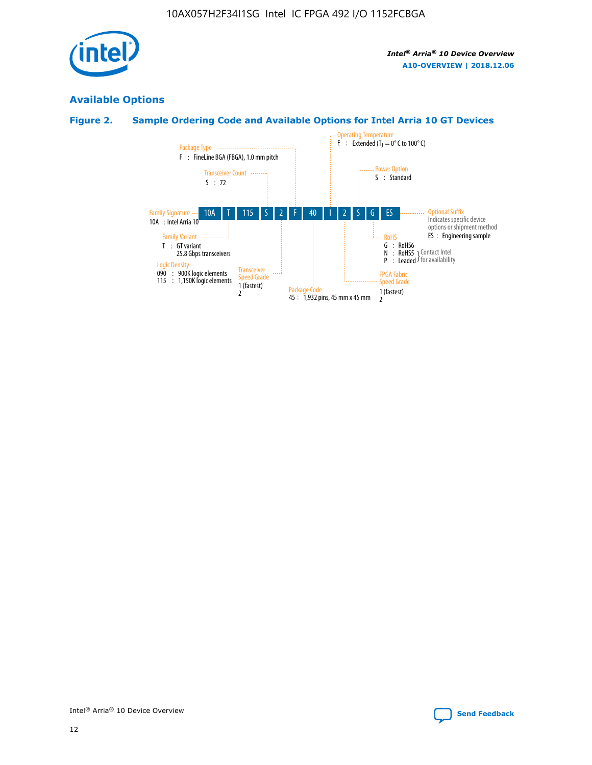

## **Available Options**

## **Figure 2. Sample Ordering Code and Available Options for Intel Arria 10 GT Devices**

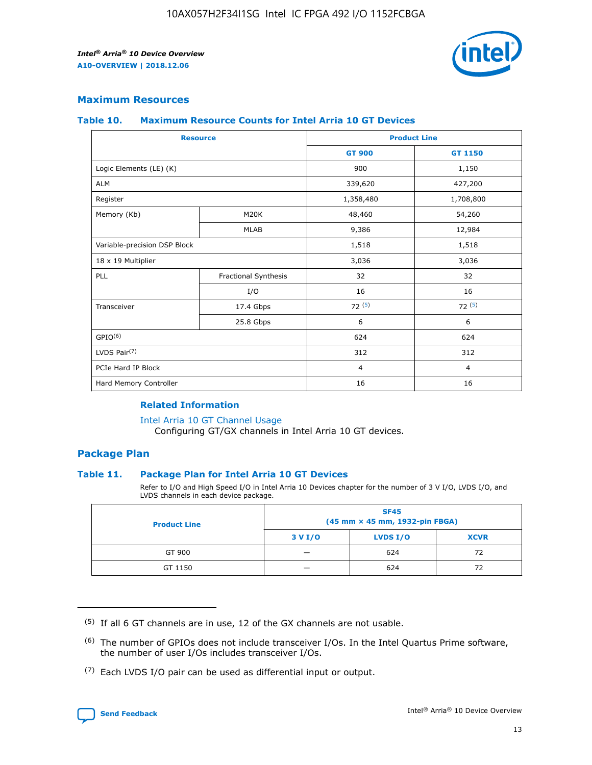

## **Maximum Resources**

#### **Table 10. Maximum Resource Counts for Intel Arria 10 GT Devices**

|                              | <b>Resource</b>      | <b>Product Line</b> |                |  |
|------------------------------|----------------------|---------------------|----------------|--|
|                              |                      | <b>GT 900</b>       | GT 1150        |  |
| Logic Elements (LE) (K)      |                      | 900                 | 1,150          |  |
| <b>ALM</b>                   |                      | 339,620             | 427,200        |  |
| Register                     |                      | 1,358,480           | 1,708,800      |  |
| Memory (Kb)                  | M20K                 | 48,460              | 54,260         |  |
|                              | <b>MLAB</b>          | 9,386               | 12,984         |  |
| Variable-precision DSP Block |                      | 1,518               | 1,518          |  |
| 18 x 19 Multiplier           |                      | 3,036               | 3,036          |  |
| PLL                          | Fractional Synthesis | 32                  | 32             |  |
|                              | I/O                  | 16                  | 16             |  |
| Transceiver                  | 17.4 Gbps            | 72(5)               | 72(5)          |  |
|                              | 25.8 Gbps            | 6                   | 6              |  |
| GPIO <sup>(6)</sup>          |                      | 624                 | 624            |  |
| LVDS Pair $(7)$              |                      | 312                 | 312            |  |
| PCIe Hard IP Block           |                      | $\overline{4}$      | $\overline{4}$ |  |
| Hard Memory Controller       |                      | 16                  | 16             |  |

#### **Related Information**

#### [Intel Arria 10 GT Channel Usage](https://www.intel.com/content/www/us/en/programmable/documentation/nik1398707230472.html#nik1398707008178)

Configuring GT/GX channels in Intel Arria 10 GT devices.

## **Package Plan**

#### **Table 11. Package Plan for Intel Arria 10 GT Devices**

Refer to I/O and High Speed I/O in Intel Arria 10 Devices chapter for the number of 3 V I/O, LVDS I/O, and LVDS channels in each device package.

| <b>Product Line</b> | <b>SF45</b><br>(45 mm × 45 mm, 1932-pin FBGA) |                 |             |  |  |  |
|---------------------|-----------------------------------------------|-----------------|-------------|--|--|--|
|                     | 3 V I/O                                       | <b>LVDS I/O</b> | <b>XCVR</b> |  |  |  |
| GT 900              |                                               | 624             | 72          |  |  |  |
| GT 1150             |                                               | 624             | 72          |  |  |  |

<sup>(7)</sup> Each LVDS I/O pair can be used as differential input or output.



 $(5)$  If all 6 GT channels are in use, 12 of the GX channels are not usable.

<sup>(6)</sup> The number of GPIOs does not include transceiver I/Os. In the Intel Quartus Prime software, the number of user I/Os includes transceiver I/Os.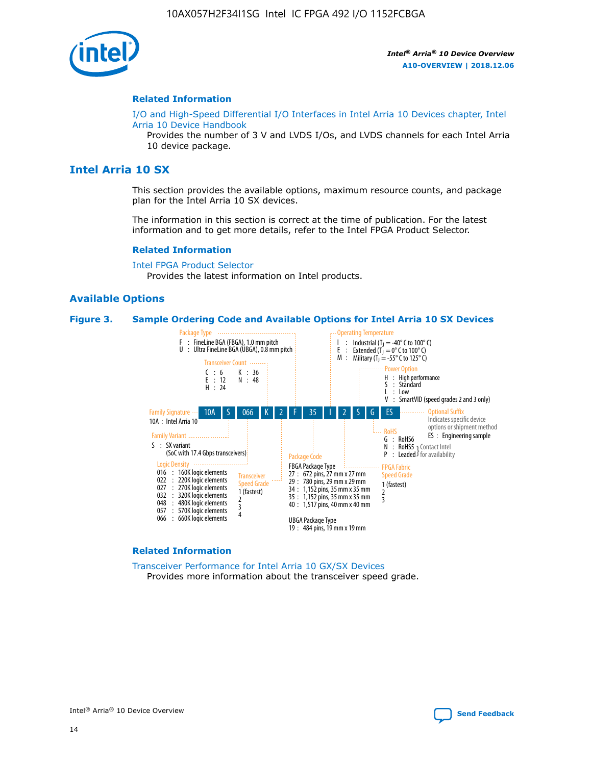

#### **Related Information**

[I/O and High-Speed Differential I/O Interfaces in Intel Arria 10 Devices chapter, Intel](https://www.intel.com/content/www/us/en/programmable/documentation/sam1403482614086.html#sam1403482030321) [Arria 10 Device Handbook](https://www.intel.com/content/www/us/en/programmable/documentation/sam1403482614086.html#sam1403482030321)

Provides the number of 3 V and LVDS I/Os, and LVDS channels for each Intel Arria 10 device package.

## **Intel Arria 10 SX**

This section provides the available options, maximum resource counts, and package plan for the Intel Arria 10 SX devices.

The information in this section is correct at the time of publication. For the latest information and to get more details, refer to the Intel FPGA Product Selector.

#### **Related Information**

[Intel FPGA Product Selector](http://www.altera.com/products/selector/psg-selector.html) Provides the latest information on Intel products.

#### **Available Options**

#### **Figure 3. Sample Ordering Code and Available Options for Intel Arria 10 SX Devices**



#### **Related Information**

[Transceiver Performance for Intel Arria 10 GX/SX Devices](https://www.intel.com/content/www/us/en/programmable/documentation/mcn1413182292568.html#mcn1413213965502) Provides more information about the transceiver speed grade.

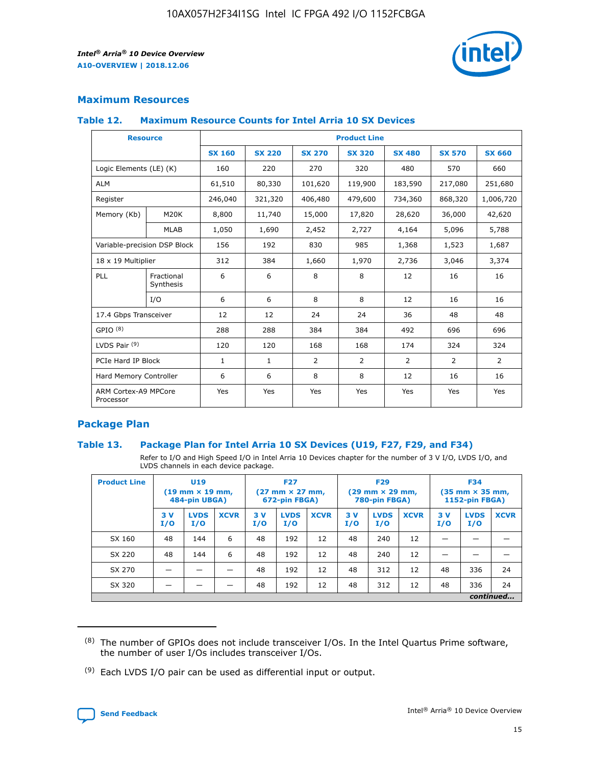

## **Maximum Resources**

#### **Table 12. Maximum Resource Counts for Intel Arria 10 SX Devices**

| <b>Resource</b>                   |                         | <b>Product Line</b> |               |                |                |               |                |               |  |  |  |
|-----------------------------------|-------------------------|---------------------|---------------|----------------|----------------|---------------|----------------|---------------|--|--|--|
|                                   |                         | <b>SX 160</b>       | <b>SX 220</b> | <b>SX 270</b>  | <b>SX 320</b>  | <b>SX 480</b> | <b>SX 570</b>  | <b>SX 660</b> |  |  |  |
| Logic Elements (LE) (K)           |                         | 160                 | 220           | 270            | 320            | 480           | 570            | 660           |  |  |  |
| <b>ALM</b>                        |                         | 61,510              | 80,330        | 101,620        | 119,900        | 183,590       | 217,080        | 251,680       |  |  |  |
| Register                          |                         | 246,040             | 321,320       | 406,480        | 479,600        | 734,360       | 868,320        | 1,006,720     |  |  |  |
| Memory (Kb)                       | M <sub>20</sub> K       | 8,800               | 11,740        | 15,000         | 17,820         | 28,620        | 36,000         | 42,620        |  |  |  |
|                                   | <b>MLAB</b>             | 1,050               | 1,690         | 2,452          | 2,727          | 4,164         | 5,096          | 5,788         |  |  |  |
| Variable-precision DSP Block      |                         | 156                 | 192           | 830            | 985            | 1,368         | 1,523          | 1,687         |  |  |  |
|                                   | 18 x 19 Multiplier      |                     | 384           | 1,660          | 1,970          | 2,736         | 3,046          | 3,374         |  |  |  |
| PLL                               | Fractional<br>Synthesis | 6                   | 6             | 8              | 8              | 12            | 16             | 16            |  |  |  |
|                                   | I/O                     | 6                   | 6             | 8              | 8              | 12            | 16             | 16            |  |  |  |
| 17.4 Gbps Transceiver             |                         | 12                  | 12            | 24             | 24             | 36            | 48             | 48            |  |  |  |
| GPIO <sup>(8)</sup>               |                         | 288                 | 288           | 384            | 384            | 492           | 696            | 696           |  |  |  |
| LVDS Pair $(9)$                   |                         | 120                 | 120           | 168            | 168            | 174           | 324            | 324           |  |  |  |
| PCIe Hard IP Block                |                         | $\mathbf{1}$        | 1             | $\overline{2}$ | $\overline{2}$ | 2             | $\overline{2}$ | 2             |  |  |  |
| Hard Memory Controller            |                         | 6                   | 6             | 8              | 8              | 12            | 16             | 16            |  |  |  |
| ARM Cortex-A9 MPCore<br>Processor |                         | Yes                 | Yes           | Yes            | Yes            | Yes           | Yes            | Yes           |  |  |  |

## **Package Plan**

#### **Table 13. Package Plan for Intel Arria 10 SX Devices (U19, F27, F29, and F34)**

Refer to I/O and High Speed I/O in Intel Arria 10 Devices chapter for the number of 3 V I/O, LVDS I/O, and LVDS channels in each device package.

| <b>Product Line</b> | U19<br>$(19 \text{ mm} \times 19 \text{ mm})$<br>484-pin UBGA) |                    | <b>F27</b><br>$(27 \text{ mm} \times 27 \text{ mm})$<br>672-pin FBGA) |           | <b>F29</b><br>$(29 \text{ mm} \times 29 \text{ mm})$<br>780-pin FBGA) |             |            | <b>F34</b><br>$(35 \text{ mm} \times 35 \text{ mm})$<br><b>1152-pin FBGA)</b> |             |           |                    |             |
|---------------------|----------------------------------------------------------------|--------------------|-----------------------------------------------------------------------|-----------|-----------------------------------------------------------------------|-------------|------------|-------------------------------------------------------------------------------|-------------|-----------|--------------------|-------------|
|                     | 3V<br>I/O                                                      | <b>LVDS</b><br>I/O | <b>XCVR</b>                                                           | 3V<br>I/O | <b>LVDS</b><br>I/O                                                    | <b>XCVR</b> | 3 V<br>I/O | <b>LVDS</b><br>I/O                                                            | <b>XCVR</b> | 3V<br>I/O | <b>LVDS</b><br>I/O | <b>XCVR</b> |
| SX 160              | 48                                                             | 144                | 6                                                                     | 48        | 192                                                                   | 12          | 48         | 240                                                                           | 12          | –         |                    |             |
| SX 220              | 48                                                             | 144                | 6                                                                     | 48        | 192                                                                   | 12          | 48         | 240                                                                           | 12          |           |                    |             |
| SX 270              |                                                                |                    |                                                                       | 48        | 192                                                                   | 12          | 48         | 312                                                                           | 12          | 48        | 336                | 24          |
| SX 320              |                                                                |                    |                                                                       | 48        | 192                                                                   | 12          | 48         | 312                                                                           | 12          | 48        | 336                | 24          |
|                     | continued                                                      |                    |                                                                       |           |                                                                       |             |            |                                                                               |             |           |                    |             |

 $(8)$  The number of GPIOs does not include transceiver I/Os. In the Intel Quartus Prime software, the number of user I/Os includes transceiver I/Os.

 $(9)$  Each LVDS I/O pair can be used as differential input or output.

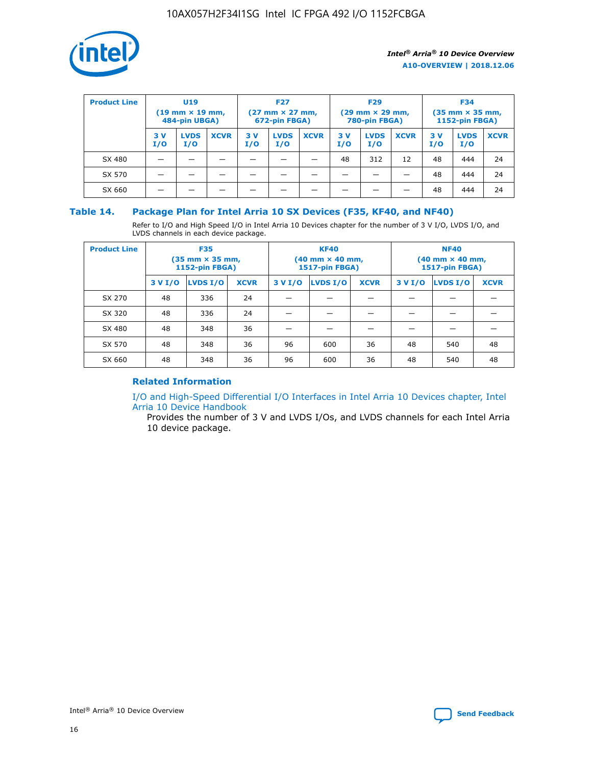

| <b>Product Line</b> |            | <b>U19</b><br>$(19 \text{ mm} \times 19 \text{ mm})$<br>484-pin UBGA) |             | <b>F27</b><br>$(27 \text{ mm} \times 27 \text{ mm})$<br>672-pin FBGA) |                    | <b>F29</b><br>$(29$ mm $\times$ 29 mm,<br>780-pin FBGA) |           |                    | <b>F34</b><br>$(35$ mm $\times$ 35 mm,<br><b>1152-pin FBGA)</b> |           |                    |             |
|---------------------|------------|-----------------------------------------------------------------------|-------------|-----------------------------------------------------------------------|--------------------|---------------------------------------------------------|-----------|--------------------|-----------------------------------------------------------------|-----------|--------------------|-------------|
|                     | 3 V<br>I/O | <b>LVDS</b><br>I/O                                                    | <b>XCVR</b> | 3V<br>I/O                                                             | <b>LVDS</b><br>I/O | <b>XCVR</b>                                             | 3V<br>I/O | <b>LVDS</b><br>I/O | <b>XCVR</b>                                                     | 3V<br>I/O | <b>LVDS</b><br>I/O | <b>XCVR</b> |
| SX 480              |            |                                                                       |             |                                                                       |                    |                                                         | 48        | 312                | 12                                                              | 48        | 444                | 24          |
| SX 570              |            |                                                                       |             |                                                                       |                    |                                                         |           |                    |                                                                 | 48        | 444                | 24          |
| SX 660              |            |                                                                       |             |                                                                       |                    |                                                         |           |                    |                                                                 | 48        | 444                | 24          |

## **Table 14. Package Plan for Intel Arria 10 SX Devices (F35, KF40, and NF40)**

Refer to I/O and High Speed I/O in Intel Arria 10 Devices chapter for the number of 3 V I/O, LVDS I/O, and LVDS channels in each device package.

| <b>Product Line</b> | <b>F35</b><br>(35 mm × 35 mm,<br><b>1152-pin FBGA)</b> |          |             |                                           | <b>KF40</b><br>(40 mm × 40 mm,<br>1517-pin FBGA) |    | <b>NF40</b><br>$(40 \text{ mm} \times 40 \text{ mm})$<br>1517-pin FBGA) |          |             |  |
|---------------------|--------------------------------------------------------|----------|-------------|-------------------------------------------|--------------------------------------------------|----|-------------------------------------------------------------------------|----------|-------------|--|
|                     | 3 V I/O                                                | LVDS I/O | <b>XCVR</b> | <b>LVDS I/O</b><br>3 V I/O<br><b>XCVR</b> |                                                  |    | 3 V I/O                                                                 | LVDS I/O | <b>XCVR</b> |  |
| SX 270              | 48                                                     | 336      | 24          |                                           |                                                  |    |                                                                         |          |             |  |
| SX 320              | 48                                                     | 336      | 24          |                                           |                                                  |    |                                                                         |          |             |  |
| SX 480              | 48                                                     | 348      | 36          |                                           |                                                  |    |                                                                         |          |             |  |
| SX 570              | 48                                                     | 348      | 36          | 96                                        | 600                                              | 36 | 48                                                                      | 540      | 48          |  |
| SX 660              | 48                                                     | 348      | 36          | 96                                        | 600                                              | 36 | 48                                                                      | 540      | 48          |  |

## **Related Information**

[I/O and High-Speed Differential I/O Interfaces in Intel Arria 10 Devices chapter, Intel](https://www.intel.com/content/www/us/en/programmable/documentation/sam1403482614086.html#sam1403482030321) [Arria 10 Device Handbook](https://www.intel.com/content/www/us/en/programmable/documentation/sam1403482614086.html#sam1403482030321)

Provides the number of 3 V and LVDS I/Os, and LVDS channels for each Intel Arria 10 device package.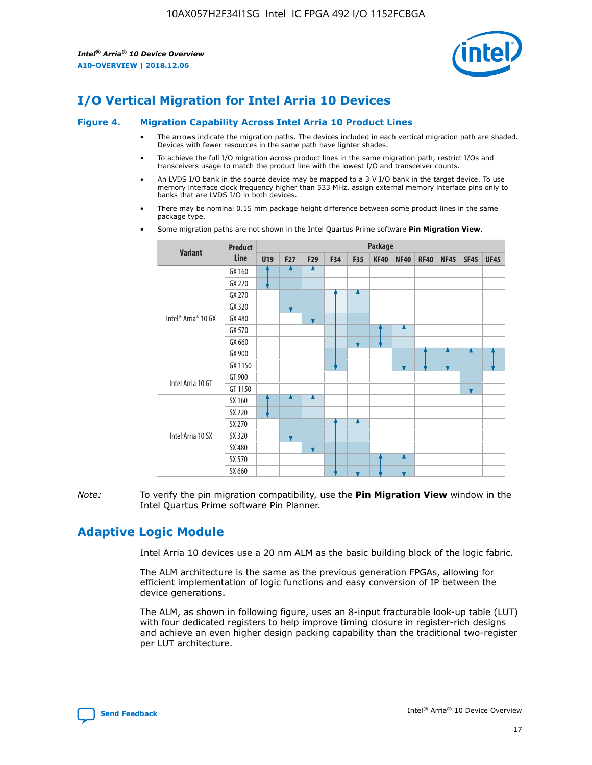

# **I/O Vertical Migration for Intel Arria 10 Devices**

#### **Figure 4. Migration Capability Across Intel Arria 10 Product Lines**

- The arrows indicate the migration paths. The devices included in each vertical migration path are shaded. Devices with fewer resources in the same path have lighter shades.
- To achieve the full I/O migration across product lines in the same migration path, restrict I/Os and transceivers usage to match the product line with the lowest I/O and transceiver counts.
- An LVDS I/O bank in the source device may be mapped to a 3 V I/O bank in the target device. To use memory interface clock frequency higher than 533 MHz, assign external memory interface pins only to banks that are LVDS I/O in both devices.
- There may be nominal 0.15 mm package height difference between some product lines in the same package type.
	- **Variant Product Line Package U19 F27 F29 F34 F35 KF40 NF40 RF40 NF45 SF45 UF45** Intel® Arria® 10 GX GX 160 GX 220 GX 270 GX 320 GX 480 GX 570 GX 660 GX 900 GX 1150 Intel Arria 10 GT GT 900 GT 1150 Intel Arria 10 SX SX 160 SX 220 SX 270 SX 320 SX 480 SX 570 SX 660
- Some migration paths are not shown in the Intel Quartus Prime software **Pin Migration View**.

*Note:* To verify the pin migration compatibility, use the **Pin Migration View** window in the Intel Quartus Prime software Pin Planner.

## **Adaptive Logic Module**

Intel Arria 10 devices use a 20 nm ALM as the basic building block of the logic fabric.

The ALM architecture is the same as the previous generation FPGAs, allowing for efficient implementation of logic functions and easy conversion of IP between the device generations.

The ALM, as shown in following figure, uses an 8-input fracturable look-up table (LUT) with four dedicated registers to help improve timing closure in register-rich designs and achieve an even higher design packing capability than the traditional two-register per LUT architecture.

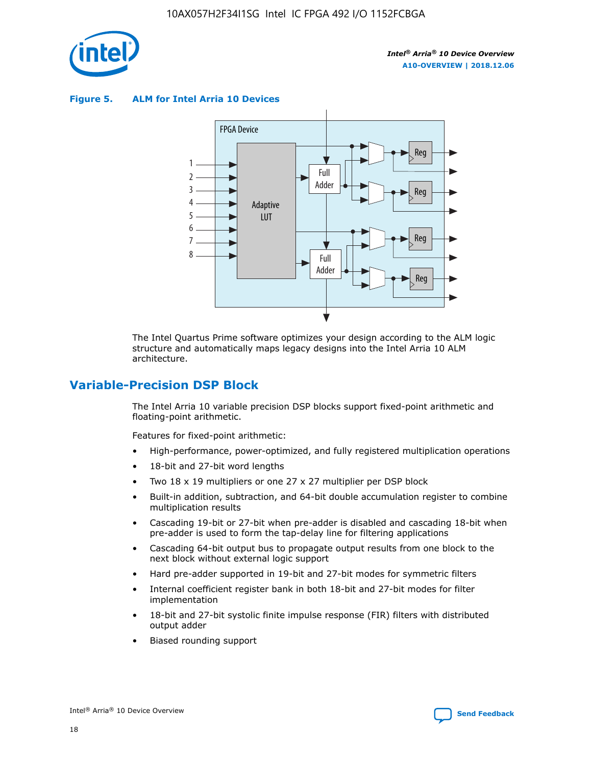

**Figure 5. ALM for Intel Arria 10 Devices**



The Intel Quartus Prime software optimizes your design according to the ALM logic structure and automatically maps legacy designs into the Intel Arria 10 ALM architecture.

## **Variable-Precision DSP Block**

The Intel Arria 10 variable precision DSP blocks support fixed-point arithmetic and floating-point arithmetic.

Features for fixed-point arithmetic:

- High-performance, power-optimized, and fully registered multiplication operations
- 18-bit and 27-bit word lengths
- Two 18 x 19 multipliers or one 27 x 27 multiplier per DSP block
- Built-in addition, subtraction, and 64-bit double accumulation register to combine multiplication results
- Cascading 19-bit or 27-bit when pre-adder is disabled and cascading 18-bit when pre-adder is used to form the tap-delay line for filtering applications
- Cascading 64-bit output bus to propagate output results from one block to the next block without external logic support
- Hard pre-adder supported in 19-bit and 27-bit modes for symmetric filters
- Internal coefficient register bank in both 18-bit and 27-bit modes for filter implementation
- 18-bit and 27-bit systolic finite impulse response (FIR) filters with distributed output adder
- Biased rounding support

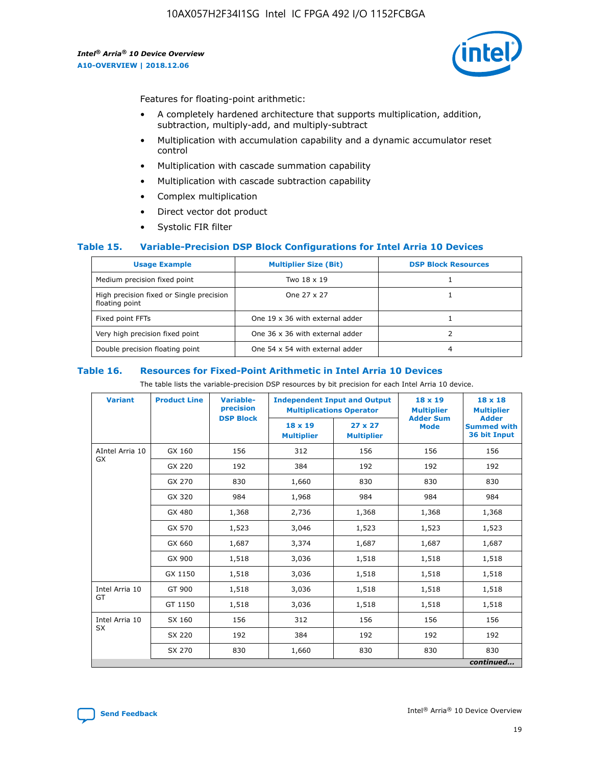

Features for floating-point arithmetic:

- A completely hardened architecture that supports multiplication, addition, subtraction, multiply-add, and multiply-subtract
- Multiplication with accumulation capability and a dynamic accumulator reset control
- Multiplication with cascade summation capability
- Multiplication with cascade subtraction capability
- Complex multiplication
- Direct vector dot product
- Systolic FIR filter

#### **Table 15. Variable-Precision DSP Block Configurations for Intel Arria 10 Devices**

| <b>Usage Example</b>                                       | <b>Multiplier Size (Bit)</b>    | <b>DSP Block Resources</b> |
|------------------------------------------------------------|---------------------------------|----------------------------|
| Medium precision fixed point                               | Two 18 x 19                     |                            |
| High precision fixed or Single precision<br>floating point | One 27 x 27                     |                            |
| Fixed point FFTs                                           | One 19 x 36 with external adder |                            |
| Very high precision fixed point                            | One 36 x 36 with external adder |                            |
| Double precision floating point                            | One 54 x 54 with external adder | 4                          |

#### **Table 16. Resources for Fixed-Point Arithmetic in Intel Arria 10 Devices**

The table lists the variable-precision DSP resources by bit precision for each Intel Arria 10 device.

| <b>Variant</b>  | <b>Product Line</b> | Variable-<br>precision<br><b>DSP Block</b> | <b>Independent Input and Output</b><br><b>Multiplications Operator</b> |                                     | 18 x 19<br><b>Multiplier</b><br><b>Adder Sum</b> | $18 \times 18$<br><b>Multiplier</b><br><b>Adder</b> |
|-----------------|---------------------|--------------------------------------------|------------------------------------------------------------------------|-------------------------------------|--------------------------------------------------|-----------------------------------------------------|
|                 |                     |                                            | 18 x 19<br><b>Multiplier</b>                                           | $27 \times 27$<br><b>Multiplier</b> | <b>Mode</b>                                      | <b>Summed with</b><br>36 bit Input                  |
| AIntel Arria 10 | GX 160              | 156                                        | 312                                                                    | 156                                 | 156                                              | 156                                                 |
| GX              | GX 220              | 192                                        | 384                                                                    | 192                                 | 192                                              | 192                                                 |
|                 | GX 270              | 830                                        | 1,660                                                                  | 830                                 | 830                                              | 830                                                 |
|                 | GX 320              | 984                                        | 1,968                                                                  | 984                                 | 984                                              | 984                                                 |
|                 | GX 480              | 1,368                                      | 2,736                                                                  | 1,368                               | 1,368                                            | 1,368                                               |
|                 | GX 570              | 1,523                                      | 3,046                                                                  | 1,523                               | 1,523                                            | 1,523                                               |
|                 | GX 660              | 1,687                                      | 3,374                                                                  | 1,687                               | 1,687                                            | 1,687                                               |
|                 | GX 900              | 1,518                                      | 3,036                                                                  | 1,518                               | 1,518                                            | 1,518                                               |
|                 | GX 1150             | 1,518                                      | 3,036                                                                  | 1,518                               | 1,518                                            | 1,518                                               |
| Intel Arria 10  | GT 900              | 1,518                                      | 3,036                                                                  | 1,518                               | 1,518                                            | 1,518                                               |
| GT              | GT 1150             | 1,518                                      | 3,036                                                                  | 1,518                               | 1,518                                            | 1,518                                               |
| Intel Arria 10  | SX 160              | 156                                        | 312                                                                    | 156                                 | 156                                              | 156                                                 |
| <b>SX</b>       | SX 220              | 192                                        | 384                                                                    | 192                                 | 192                                              | 192                                                 |
|                 | SX 270              | 830                                        | 1,660                                                                  | 830                                 | 830                                              | 830                                                 |
|                 |                     |                                            |                                                                        |                                     |                                                  | continued                                           |

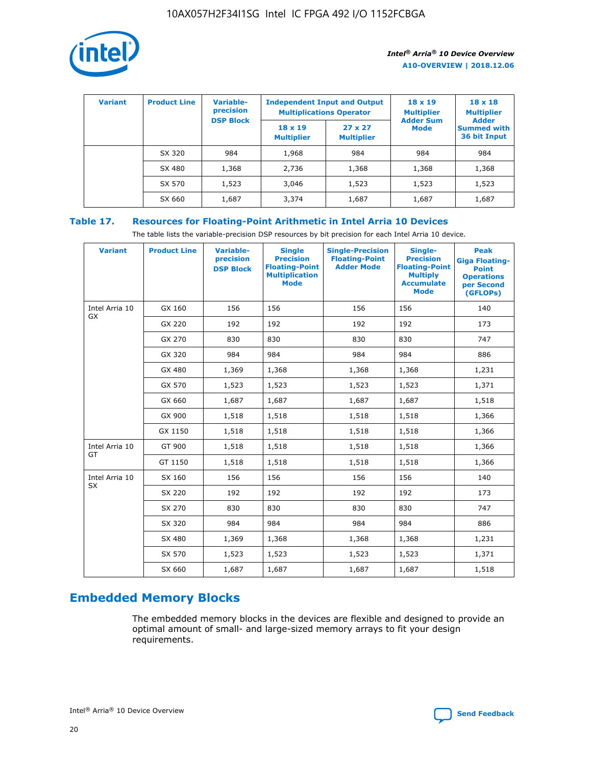

| <b>Variant</b> | <b>Product Line</b> | <b>Variable-</b><br>precision<br><b>DSP Block</b> | <b>Independent Input and Output</b><br><b>Multiplications Operator</b> |                                     | $18 \times 19$<br><b>Multiplier</b><br><b>Adder Sum</b> | $18 \times 18$<br><b>Multiplier</b><br><b>Adder</b> |  |
|----------------|---------------------|---------------------------------------------------|------------------------------------------------------------------------|-------------------------------------|---------------------------------------------------------|-----------------------------------------------------|--|
|                |                     |                                                   | $18 \times 19$<br><b>Multiplier</b>                                    | $27 \times 27$<br><b>Multiplier</b> | <b>Mode</b>                                             | <b>Summed with</b><br>36 bit Input                  |  |
|                | SX 320              | 984                                               | 1,968                                                                  | 984                                 | 984                                                     | 984                                                 |  |
|                | SX 480              | 1,368                                             | 2,736                                                                  | 1,368                               | 1,368                                                   | 1,368                                               |  |
|                | SX 570              | 1,523                                             | 3,046                                                                  | 1,523                               | 1,523                                                   | 1,523                                               |  |
|                | SX 660              | 1,687                                             | 3,374                                                                  | 1,687                               | 1,687                                                   | 1,687                                               |  |

## **Table 17. Resources for Floating-Point Arithmetic in Intel Arria 10 Devices**

The table lists the variable-precision DSP resources by bit precision for each Intel Arria 10 device.

| <b>Variant</b> | <b>Product Line</b> | <b>Variable-</b><br>precision<br><b>DSP Block</b> | <b>Single</b><br><b>Precision</b><br><b>Floating-Point</b><br><b>Multiplication</b><br><b>Mode</b> | <b>Single-Precision</b><br><b>Floating-Point</b><br><b>Adder Mode</b> | Single-<br><b>Precision</b><br><b>Floating-Point</b><br><b>Multiply</b><br><b>Accumulate</b><br><b>Mode</b> | <b>Peak</b><br><b>Giga Floating-</b><br><b>Point</b><br><b>Operations</b><br>per Second<br>(GFLOPs) |
|----------------|---------------------|---------------------------------------------------|----------------------------------------------------------------------------------------------------|-----------------------------------------------------------------------|-------------------------------------------------------------------------------------------------------------|-----------------------------------------------------------------------------------------------------|
| Intel Arria 10 | GX 160              | 156                                               | 156                                                                                                | 156                                                                   | 156                                                                                                         | 140                                                                                                 |
| GX             | GX 220              | 192                                               | 192                                                                                                | 192                                                                   | 192                                                                                                         | 173                                                                                                 |
|                | GX 270              | 830                                               | 830                                                                                                | 830                                                                   | 830                                                                                                         | 747                                                                                                 |
|                | GX 320              | 984                                               | 984                                                                                                | 984                                                                   | 984                                                                                                         | 886                                                                                                 |
|                | GX 480              | 1,369                                             | 1,368                                                                                              | 1,368                                                                 | 1,368                                                                                                       | 1,231                                                                                               |
|                | GX 570              | 1,523                                             | 1,523                                                                                              | 1,523                                                                 | 1,523                                                                                                       | 1,371                                                                                               |
|                | GX 660              | 1,687                                             | 1,687                                                                                              | 1,687                                                                 | 1,687                                                                                                       | 1,518                                                                                               |
|                | GX 900              | 1,518                                             | 1,518                                                                                              | 1,518                                                                 | 1,518                                                                                                       | 1,366                                                                                               |
|                | GX 1150             | 1,518                                             | 1,518                                                                                              | 1,518                                                                 | 1,518                                                                                                       | 1,366                                                                                               |
| Intel Arria 10 | GT 900              | 1,518                                             | 1,518                                                                                              | 1,518                                                                 | 1,518                                                                                                       | 1,366                                                                                               |
| GT             | GT 1150             | 1,518                                             | 1,518                                                                                              | 1,518                                                                 | 1,518                                                                                                       | 1,366                                                                                               |
| Intel Arria 10 | SX 160              | 156                                               | 156                                                                                                | 156                                                                   | 156                                                                                                         | 140                                                                                                 |
| <b>SX</b>      | SX 220              | 192                                               | 192                                                                                                | 192                                                                   | 192                                                                                                         | 173                                                                                                 |
|                | SX 270              | 830                                               | 830                                                                                                | 830                                                                   | 830                                                                                                         | 747                                                                                                 |
|                | SX 320              | 984                                               | 984                                                                                                | 984                                                                   | 984                                                                                                         | 886                                                                                                 |
|                | SX 480              | 1,369                                             | 1,368                                                                                              | 1,368                                                                 | 1,368                                                                                                       | 1,231                                                                                               |
|                | SX 570              | 1,523                                             | 1,523                                                                                              | 1,523                                                                 | 1,523                                                                                                       | 1,371                                                                                               |
|                | SX 660              | 1,687                                             | 1,687                                                                                              | 1,687                                                                 | 1,687                                                                                                       | 1,518                                                                                               |

# **Embedded Memory Blocks**

The embedded memory blocks in the devices are flexible and designed to provide an optimal amount of small- and large-sized memory arrays to fit your design requirements.

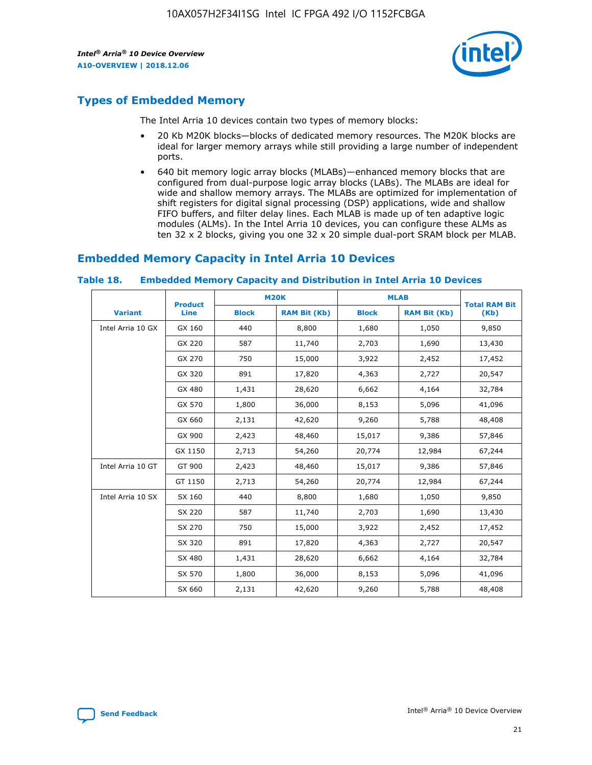

## **Types of Embedded Memory**

The Intel Arria 10 devices contain two types of memory blocks:

- 20 Kb M20K blocks—blocks of dedicated memory resources. The M20K blocks are ideal for larger memory arrays while still providing a large number of independent ports.
- 640 bit memory logic array blocks (MLABs)—enhanced memory blocks that are configured from dual-purpose logic array blocks (LABs). The MLABs are ideal for wide and shallow memory arrays. The MLABs are optimized for implementation of shift registers for digital signal processing (DSP) applications, wide and shallow FIFO buffers, and filter delay lines. Each MLAB is made up of ten adaptive logic modules (ALMs). In the Intel Arria 10 devices, you can configure these ALMs as ten 32 x 2 blocks, giving you one 32 x 20 simple dual-port SRAM block per MLAB.

## **Embedded Memory Capacity in Intel Arria 10 Devices**

|                   | <b>Product</b> |              | <b>M20K</b>         | <b>MLAB</b>  |                     | <b>Total RAM Bit</b> |
|-------------------|----------------|--------------|---------------------|--------------|---------------------|----------------------|
| <b>Variant</b>    | Line           | <b>Block</b> | <b>RAM Bit (Kb)</b> | <b>Block</b> | <b>RAM Bit (Kb)</b> | (Kb)                 |
| Intel Arria 10 GX | GX 160         | 440          | 8,800               | 1,680        | 1,050               | 9,850                |
|                   | GX 220         | 587          | 11,740              | 2,703        | 1,690               | 13,430               |
|                   | GX 270         | 750          | 15,000              | 3,922        | 2,452               | 17,452               |
|                   | GX 320         | 891          | 17,820              | 4,363        | 2,727               | 20,547               |
|                   | GX 480         | 1,431        | 28,620              | 6,662        | 4,164               | 32,784               |
|                   | GX 570         | 1,800        | 36,000              | 8,153        | 5,096               | 41,096               |
|                   | GX 660         | 2,131        | 42,620              | 9,260        | 5,788               | 48,408               |
|                   | GX 900         | 2,423        | 48,460              | 15,017       | 9,386               | 57,846               |
|                   | GX 1150        | 2,713        | 54,260              | 20,774       | 12,984              | 67,244               |
| Intel Arria 10 GT | GT 900         | 2,423        | 48,460              | 15,017       | 9,386               | 57,846               |
|                   | GT 1150        | 2,713        | 54,260              | 20,774       | 12,984              | 67,244               |
| Intel Arria 10 SX | SX 160         | 440          | 8,800               | 1,680        | 1,050               | 9,850                |
|                   | SX 220         | 587          | 11,740              | 2,703        | 1,690               | 13,430               |
|                   | SX 270         | 750          | 15,000              | 3,922        | 2,452               | 17,452               |
|                   | SX 320         | 891          | 17,820              | 4,363        | 2,727               | 20,547               |
|                   | SX 480         | 1,431        | 28,620              | 6,662        | 4,164               | 32,784               |
|                   | SX 570         | 1,800        | 36,000              | 8,153        | 5,096               | 41,096               |
|                   | SX 660         | 2,131        | 42,620              | 9,260        | 5,788               | 48,408               |

#### **Table 18. Embedded Memory Capacity and Distribution in Intel Arria 10 Devices**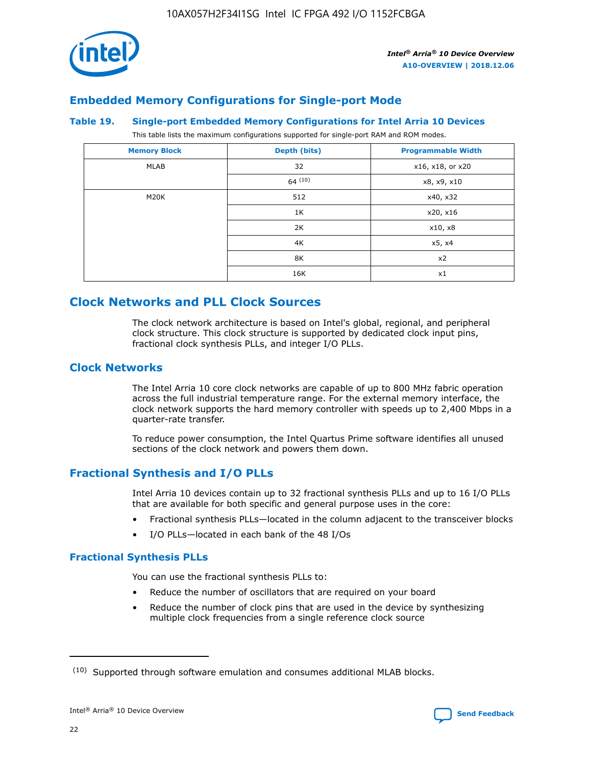

## **Embedded Memory Configurations for Single-port Mode**

#### **Table 19. Single-port Embedded Memory Configurations for Intel Arria 10 Devices**

This table lists the maximum configurations supported for single-port RAM and ROM modes.

| <b>Memory Block</b> | Depth (bits) | <b>Programmable Width</b> |
|---------------------|--------------|---------------------------|
| MLAB                | 32           | x16, x18, or x20          |
|                     | 64(10)       | x8, x9, x10               |
| M20K                | 512          | x40, x32                  |
|                     | 1K           | x20, x16                  |
|                     | 2K           | x10, x8                   |
|                     | 4K           | x5, x4                    |
|                     | 8K           | x2                        |
|                     | 16K          | x1                        |

## **Clock Networks and PLL Clock Sources**

The clock network architecture is based on Intel's global, regional, and peripheral clock structure. This clock structure is supported by dedicated clock input pins, fractional clock synthesis PLLs, and integer I/O PLLs.

## **Clock Networks**

The Intel Arria 10 core clock networks are capable of up to 800 MHz fabric operation across the full industrial temperature range. For the external memory interface, the clock network supports the hard memory controller with speeds up to 2,400 Mbps in a quarter-rate transfer.

To reduce power consumption, the Intel Quartus Prime software identifies all unused sections of the clock network and powers them down.

## **Fractional Synthesis and I/O PLLs**

Intel Arria 10 devices contain up to 32 fractional synthesis PLLs and up to 16 I/O PLLs that are available for both specific and general purpose uses in the core:

- Fractional synthesis PLLs—located in the column adjacent to the transceiver blocks
- I/O PLLs—located in each bank of the 48 I/Os

## **Fractional Synthesis PLLs**

You can use the fractional synthesis PLLs to:

- Reduce the number of oscillators that are required on your board
- Reduce the number of clock pins that are used in the device by synthesizing multiple clock frequencies from a single reference clock source

<sup>(10)</sup> Supported through software emulation and consumes additional MLAB blocks.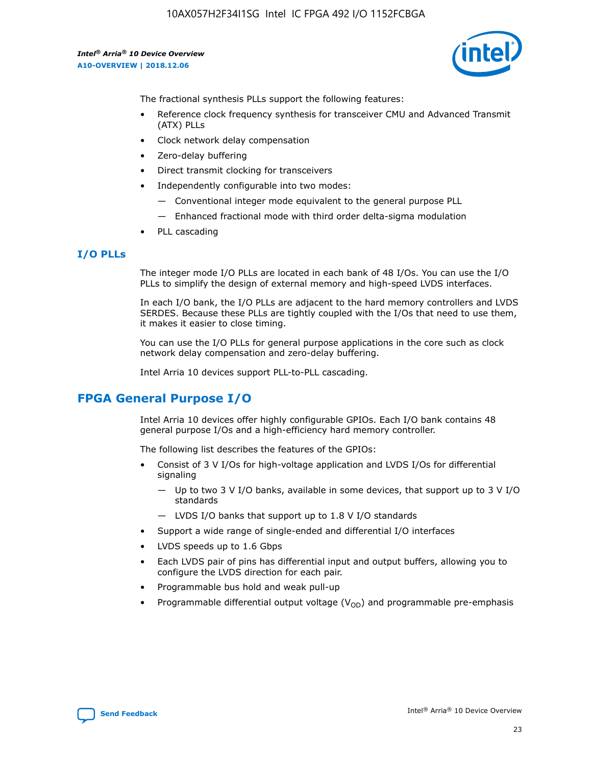

The fractional synthesis PLLs support the following features:

- Reference clock frequency synthesis for transceiver CMU and Advanced Transmit (ATX) PLLs
- Clock network delay compensation
- Zero-delay buffering
- Direct transmit clocking for transceivers
- Independently configurable into two modes:
	- Conventional integer mode equivalent to the general purpose PLL
	- Enhanced fractional mode with third order delta-sigma modulation
- PLL cascading

#### **I/O PLLs**

The integer mode I/O PLLs are located in each bank of 48 I/Os. You can use the I/O PLLs to simplify the design of external memory and high-speed LVDS interfaces.

In each I/O bank, the I/O PLLs are adjacent to the hard memory controllers and LVDS SERDES. Because these PLLs are tightly coupled with the I/Os that need to use them, it makes it easier to close timing.

You can use the I/O PLLs for general purpose applications in the core such as clock network delay compensation and zero-delay buffering.

Intel Arria 10 devices support PLL-to-PLL cascading.

## **FPGA General Purpose I/O**

Intel Arria 10 devices offer highly configurable GPIOs. Each I/O bank contains 48 general purpose I/Os and a high-efficiency hard memory controller.

The following list describes the features of the GPIOs:

- Consist of 3 V I/Os for high-voltage application and LVDS I/Os for differential signaling
	- Up to two 3 V I/O banks, available in some devices, that support up to 3 V I/O standards
	- LVDS I/O banks that support up to 1.8 V I/O standards
- Support a wide range of single-ended and differential I/O interfaces
- LVDS speeds up to 1.6 Gbps
- Each LVDS pair of pins has differential input and output buffers, allowing you to configure the LVDS direction for each pair.
- Programmable bus hold and weak pull-up
- Programmable differential output voltage  $(V_{OD})$  and programmable pre-emphasis

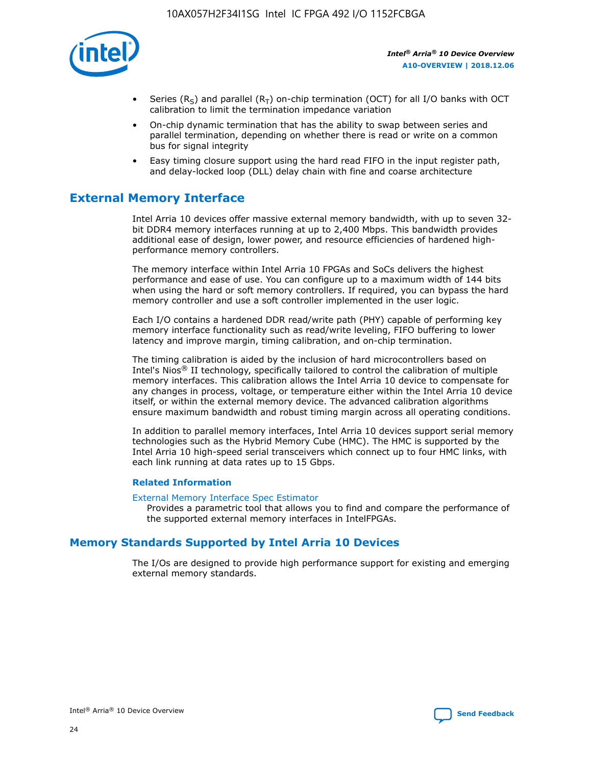

- Series (R<sub>S</sub>) and parallel (R<sub>T</sub>) on-chip termination (OCT) for all I/O banks with OCT calibration to limit the termination impedance variation
- On-chip dynamic termination that has the ability to swap between series and parallel termination, depending on whether there is read or write on a common bus for signal integrity
- Easy timing closure support using the hard read FIFO in the input register path, and delay-locked loop (DLL) delay chain with fine and coarse architecture

## **External Memory Interface**

Intel Arria 10 devices offer massive external memory bandwidth, with up to seven 32 bit DDR4 memory interfaces running at up to 2,400 Mbps. This bandwidth provides additional ease of design, lower power, and resource efficiencies of hardened highperformance memory controllers.

The memory interface within Intel Arria 10 FPGAs and SoCs delivers the highest performance and ease of use. You can configure up to a maximum width of 144 bits when using the hard or soft memory controllers. If required, you can bypass the hard memory controller and use a soft controller implemented in the user logic.

Each I/O contains a hardened DDR read/write path (PHY) capable of performing key memory interface functionality such as read/write leveling, FIFO buffering to lower latency and improve margin, timing calibration, and on-chip termination.

The timing calibration is aided by the inclusion of hard microcontrollers based on Intel's Nios® II technology, specifically tailored to control the calibration of multiple memory interfaces. This calibration allows the Intel Arria 10 device to compensate for any changes in process, voltage, or temperature either within the Intel Arria 10 device itself, or within the external memory device. The advanced calibration algorithms ensure maximum bandwidth and robust timing margin across all operating conditions.

In addition to parallel memory interfaces, Intel Arria 10 devices support serial memory technologies such as the Hybrid Memory Cube (HMC). The HMC is supported by the Intel Arria 10 high-speed serial transceivers which connect up to four HMC links, with each link running at data rates up to 15 Gbps.

#### **Related Information**

#### [External Memory Interface Spec Estimator](http://www.altera.com/technology/memory/estimator/mem-emif-index.html)

Provides a parametric tool that allows you to find and compare the performance of the supported external memory interfaces in IntelFPGAs.

## **Memory Standards Supported by Intel Arria 10 Devices**

The I/Os are designed to provide high performance support for existing and emerging external memory standards.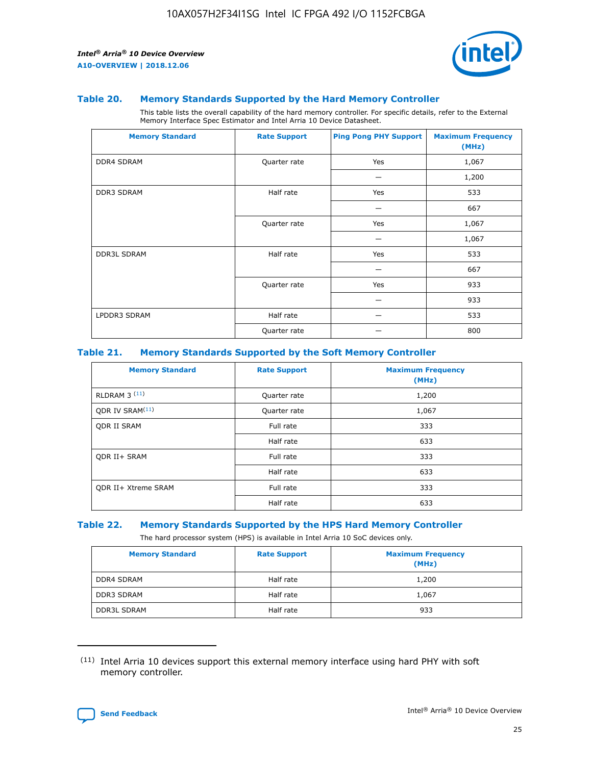

#### **Table 20. Memory Standards Supported by the Hard Memory Controller**

This table lists the overall capability of the hard memory controller. For specific details, refer to the External Memory Interface Spec Estimator and Intel Arria 10 Device Datasheet.

| <b>Memory Standard</b> | <b>Rate Support</b> | <b>Ping Pong PHY Support</b> | <b>Maximum Frequency</b><br>(MHz) |
|------------------------|---------------------|------------------------------|-----------------------------------|
| <b>DDR4 SDRAM</b>      | Quarter rate        | Yes                          | 1,067                             |
|                        |                     |                              | 1,200                             |
| DDR3 SDRAM             | Half rate           | Yes                          | 533                               |
|                        |                     |                              | 667                               |
|                        | Quarter rate        | Yes                          | 1,067                             |
|                        |                     |                              | 1,067                             |
| <b>DDR3L SDRAM</b>     | Half rate           | Yes                          | 533                               |
|                        |                     |                              | 667                               |
|                        | Quarter rate        | Yes                          | 933                               |
|                        |                     |                              | 933                               |
| LPDDR3 SDRAM           | Half rate           |                              | 533                               |
|                        | Quarter rate        |                              | 800                               |

#### **Table 21. Memory Standards Supported by the Soft Memory Controller**

| <b>Memory Standard</b>      | <b>Rate Support</b> | <b>Maximum Frequency</b><br>(MHz) |
|-----------------------------|---------------------|-----------------------------------|
| <b>RLDRAM 3 (11)</b>        | Quarter rate        | 1,200                             |
| ODR IV SRAM <sup>(11)</sup> | Quarter rate        | 1,067                             |
| <b>ODR II SRAM</b>          | Full rate           | 333                               |
|                             | Half rate           | 633                               |
| <b>ODR II+ SRAM</b>         | Full rate           | 333                               |
|                             | Half rate           | 633                               |
| <b>ODR II+ Xtreme SRAM</b>  | Full rate           | 333                               |
|                             | Half rate           | 633                               |

#### **Table 22. Memory Standards Supported by the HPS Hard Memory Controller**

The hard processor system (HPS) is available in Intel Arria 10 SoC devices only.

| <b>Memory Standard</b> | <b>Rate Support</b> | <b>Maximum Frequency</b><br>(MHz) |
|------------------------|---------------------|-----------------------------------|
| <b>DDR4 SDRAM</b>      | Half rate           | 1,200                             |
| <b>DDR3 SDRAM</b>      | Half rate           | 1,067                             |
| <b>DDR3L SDRAM</b>     | Half rate           | 933                               |

<sup>(11)</sup> Intel Arria 10 devices support this external memory interface using hard PHY with soft memory controller.

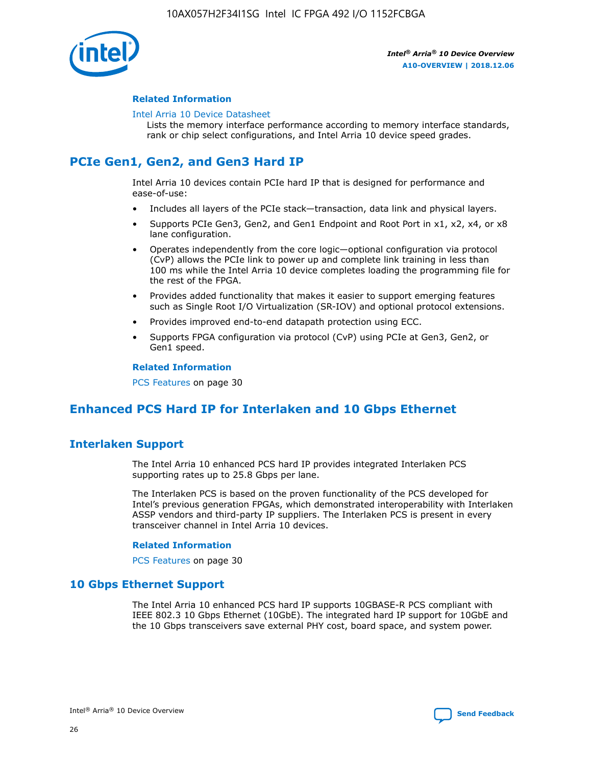

#### **Related Information**

#### [Intel Arria 10 Device Datasheet](https://www.intel.com/content/www/us/en/programmable/documentation/mcn1413182292568.html#mcn1413182153340)

Lists the memory interface performance according to memory interface standards, rank or chip select configurations, and Intel Arria 10 device speed grades.

# **PCIe Gen1, Gen2, and Gen3 Hard IP**

Intel Arria 10 devices contain PCIe hard IP that is designed for performance and ease-of-use:

- Includes all layers of the PCIe stack—transaction, data link and physical layers.
- Supports PCIe Gen3, Gen2, and Gen1 Endpoint and Root Port in x1, x2, x4, or x8 lane configuration.
- Operates independently from the core logic—optional configuration via protocol (CvP) allows the PCIe link to power up and complete link training in less than 100 ms while the Intel Arria 10 device completes loading the programming file for the rest of the FPGA.
- Provides added functionality that makes it easier to support emerging features such as Single Root I/O Virtualization (SR-IOV) and optional protocol extensions.
- Provides improved end-to-end datapath protection using ECC.
- Supports FPGA configuration via protocol (CvP) using PCIe at Gen3, Gen2, or Gen1 speed.

#### **Related Information**

PCS Features on page 30

## **Enhanced PCS Hard IP for Interlaken and 10 Gbps Ethernet**

## **Interlaken Support**

The Intel Arria 10 enhanced PCS hard IP provides integrated Interlaken PCS supporting rates up to 25.8 Gbps per lane.

The Interlaken PCS is based on the proven functionality of the PCS developed for Intel's previous generation FPGAs, which demonstrated interoperability with Interlaken ASSP vendors and third-party IP suppliers. The Interlaken PCS is present in every transceiver channel in Intel Arria 10 devices.

#### **Related Information**

PCS Features on page 30

## **10 Gbps Ethernet Support**

The Intel Arria 10 enhanced PCS hard IP supports 10GBASE-R PCS compliant with IEEE 802.3 10 Gbps Ethernet (10GbE). The integrated hard IP support for 10GbE and the 10 Gbps transceivers save external PHY cost, board space, and system power.

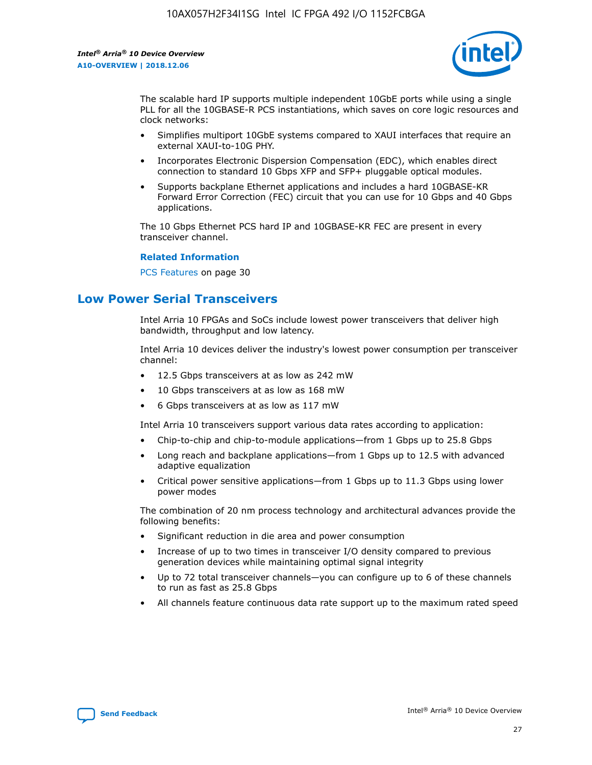

The scalable hard IP supports multiple independent 10GbE ports while using a single PLL for all the 10GBASE-R PCS instantiations, which saves on core logic resources and clock networks:

- Simplifies multiport 10GbE systems compared to XAUI interfaces that require an external XAUI-to-10G PHY.
- Incorporates Electronic Dispersion Compensation (EDC), which enables direct connection to standard 10 Gbps XFP and SFP+ pluggable optical modules.
- Supports backplane Ethernet applications and includes a hard 10GBASE-KR Forward Error Correction (FEC) circuit that you can use for 10 Gbps and 40 Gbps applications.

The 10 Gbps Ethernet PCS hard IP and 10GBASE-KR FEC are present in every transceiver channel.

#### **Related Information**

PCS Features on page 30

## **Low Power Serial Transceivers**

Intel Arria 10 FPGAs and SoCs include lowest power transceivers that deliver high bandwidth, throughput and low latency.

Intel Arria 10 devices deliver the industry's lowest power consumption per transceiver channel:

- 12.5 Gbps transceivers at as low as 242 mW
- 10 Gbps transceivers at as low as 168 mW
- 6 Gbps transceivers at as low as 117 mW

Intel Arria 10 transceivers support various data rates according to application:

- Chip-to-chip and chip-to-module applications—from 1 Gbps up to 25.8 Gbps
- Long reach and backplane applications—from 1 Gbps up to 12.5 with advanced adaptive equalization
- Critical power sensitive applications—from 1 Gbps up to 11.3 Gbps using lower power modes

The combination of 20 nm process technology and architectural advances provide the following benefits:

- Significant reduction in die area and power consumption
- Increase of up to two times in transceiver I/O density compared to previous generation devices while maintaining optimal signal integrity
- Up to 72 total transceiver channels—you can configure up to 6 of these channels to run as fast as 25.8 Gbps
- All channels feature continuous data rate support up to the maximum rated speed

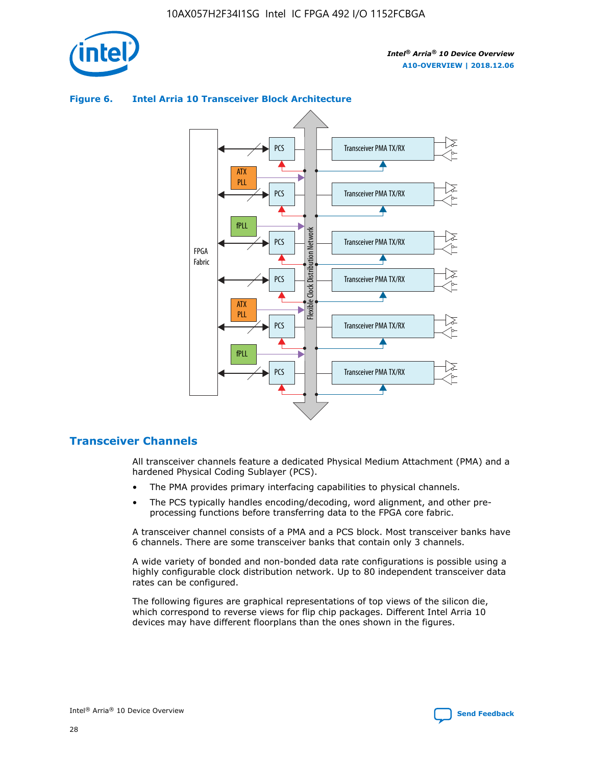



## **Figure 6. Intel Arria 10 Transceiver Block Architecture**

## **Transceiver Channels**

All transceiver channels feature a dedicated Physical Medium Attachment (PMA) and a hardened Physical Coding Sublayer (PCS).

- The PMA provides primary interfacing capabilities to physical channels.
- The PCS typically handles encoding/decoding, word alignment, and other preprocessing functions before transferring data to the FPGA core fabric.

A transceiver channel consists of a PMA and a PCS block. Most transceiver banks have 6 channels. There are some transceiver banks that contain only 3 channels.

A wide variety of bonded and non-bonded data rate configurations is possible using a highly configurable clock distribution network. Up to 80 independent transceiver data rates can be configured.

The following figures are graphical representations of top views of the silicon die, which correspond to reverse views for flip chip packages. Different Intel Arria 10 devices may have different floorplans than the ones shown in the figures.

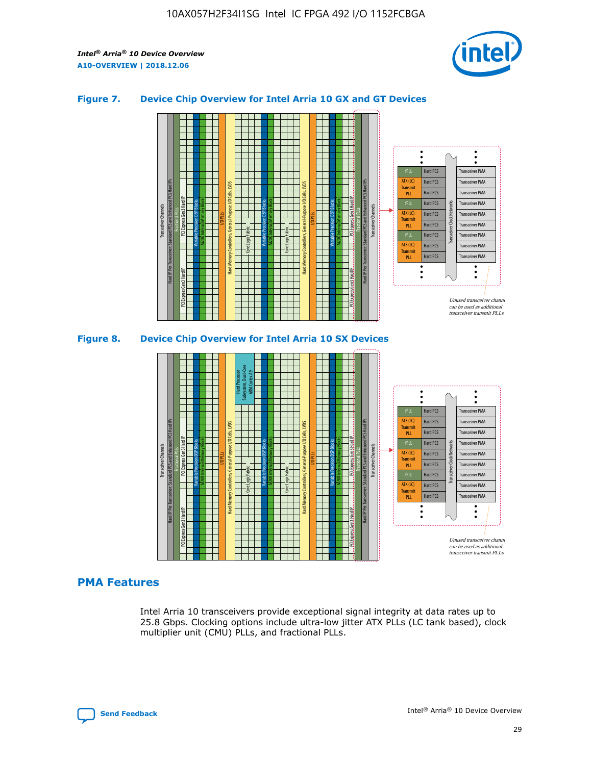

## **Figure 7. Device Chip Overview for Intel Arria 10 GX and GT Devices**



M20K Internal Memory Blocks Core Logic Fabric Transceiver Channels Hard IP Per Transceiver: Standard PCS and Enhanced PCS Hard IPs PCI Express Gen3 Hard IP Fractional PLLs M20K Internal Memory Blocks PCI Express Gen3 Hard IP Variable Precision DSP Blocks I/O PLLs Hard Memory Controllers, General-Purpose I/O Cells, LVDS Hard Processor Subsystem, Dual-Core ARM Cortex A9 M20K Internal Memory Blocks Variable Precision DSP Blocks M20K Internal Memory Blocks Core Logic Fabric I/O PLLs Hard Memory Controllers, General-Purpose I/O Cells, LVDS M20K Internal Memory Blocks Variable Precision DSP Blocks M20K Internal Memory Blocks Transceiver Channels Hard IP Per Transceiver: Standard PCS and Enhanced PCS Hard IPs PCI Express Gen3 Hard IP Fractional PLLs PCI Express Gen3 Hard IP  $\ddot{\cdot}$ Hard PCS Transceiver PMA fPLL ATX (LC) Hard PCS Transceiver PMA **Transmit** Hard PCS Transceiver PMA PLL fPLL Hard PCS Transceiver PMA Transceiver Clock Networks ATX (LC) Hard PCS Transceiver PMA Transmi Hard PCS Transceiver PMA PLL fPLL Hard PCS Transceiver PMA Transceiver PMA Hard PCS ATX (LC) **Transmit** Hard PCS Transceiver PMA PLL Unused transceiver chann can be used as additional transceiver transmit PLLs

## **PMA Features**

Intel Arria 10 transceivers provide exceptional signal integrity at data rates up to 25.8 Gbps. Clocking options include ultra-low jitter ATX PLLs (LC tank based), clock multiplier unit (CMU) PLLs, and fractional PLLs.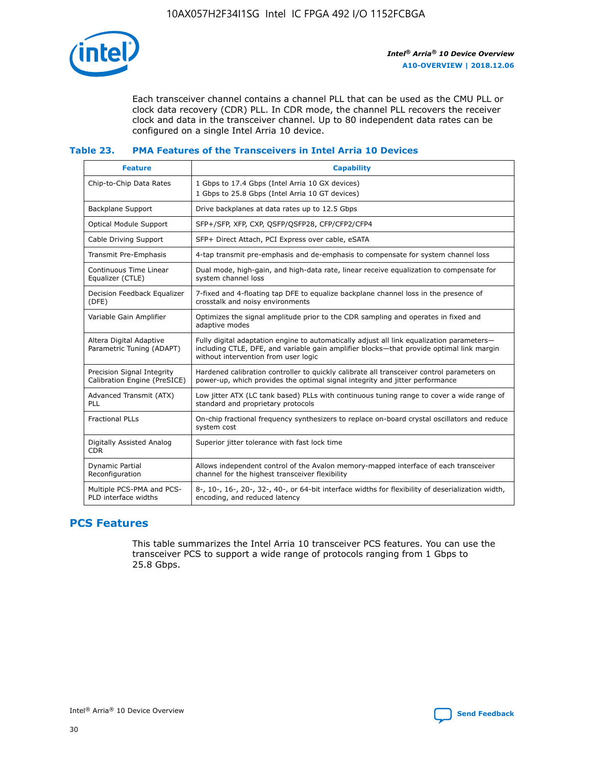

Each transceiver channel contains a channel PLL that can be used as the CMU PLL or clock data recovery (CDR) PLL. In CDR mode, the channel PLL recovers the receiver clock and data in the transceiver channel. Up to 80 independent data rates can be configured on a single Intel Arria 10 device.

## **Table 23. PMA Features of the Transceivers in Intel Arria 10 Devices**

| <b>Feature</b>                                             | <b>Capability</b>                                                                                                                                                                                                             |
|------------------------------------------------------------|-------------------------------------------------------------------------------------------------------------------------------------------------------------------------------------------------------------------------------|
| Chip-to-Chip Data Rates                                    | 1 Gbps to 17.4 Gbps (Intel Arria 10 GX devices)<br>1 Gbps to 25.8 Gbps (Intel Arria 10 GT devices)                                                                                                                            |
| Backplane Support                                          | Drive backplanes at data rates up to 12.5 Gbps                                                                                                                                                                                |
| <b>Optical Module Support</b>                              | SFP+/SFP, XFP, CXP, QSFP/QSFP28, CFP/CFP2/CFP4                                                                                                                                                                                |
| Cable Driving Support                                      | SFP+ Direct Attach, PCI Express over cable, eSATA                                                                                                                                                                             |
| Transmit Pre-Emphasis                                      | 4-tap transmit pre-emphasis and de-emphasis to compensate for system channel loss                                                                                                                                             |
| Continuous Time Linear<br>Equalizer (CTLE)                 | Dual mode, high-gain, and high-data rate, linear receive equalization to compensate for<br>system channel loss                                                                                                                |
| Decision Feedback Equalizer<br>(DFE)                       | 7-fixed and 4-floating tap DFE to equalize backplane channel loss in the presence of<br>crosstalk and noisy environments                                                                                                      |
| Variable Gain Amplifier                                    | Optimizes the signal amplitude prior to the CDR sampling and operates in fixed and<br>adaptive modes                                                                                                                          |
| Altera Digital Adaptive<br>Parametric Tuning (ADAPT)       | Fully digital adaptation engine to automatically adjust all link equalization parameters-<br>including CTLE, DFE, and variable gain amplifier blocks—that provide optimal link margin<br>without intervention from user logic |
| Precision Signal Integrity<br>Calibration Engine (PreSICE) | Hardened calibration controller to quickly calibrate all transceiver control parameters on<br>power-up, which provides the optimal signal integrity and jitter performance                                                    |
| Advanced Transmit (ATX)<br><b>PLL</b>                      | Low jitter ATX (LC tank based) PLLs with continuous tuning range to cover a wide range of<br>standard and proprietary protocols                                                                                               |
| <b>Fractional PLLs</b>                                     | On-chip fractional frequency synthesizers to replace on-board crystal oscillators and reduce<br>system cost                                                                                                                   |
| Digitally Assisted Analog<br><b>CDR</b>                    | Superior jitter tolerance with fast lock time                                                                                                                                                                                 |
| Dynamic Partial<br>Reconfiguration                         | Allows independent control of the Avalon memory-mapped interface of each transceiver<br>channel for the highest transceiver flexibility                                                                                       |
| Multiple PCS-PMA and PCS-<br>PLD interface widths          | 8-, 10-, 16-, 20-, 32-, 40-, or 64-bit interface widths for flexibility of deserialization width,<br>encoding, and reduced latency                                                                                            |

## **PCS Features**

This table summarizes the Intel Arria 10 transceiver PCS features. You can use the transceiver PCS to support a wide range of protocols ranging from 1 Gbps to 25.8 Gbps.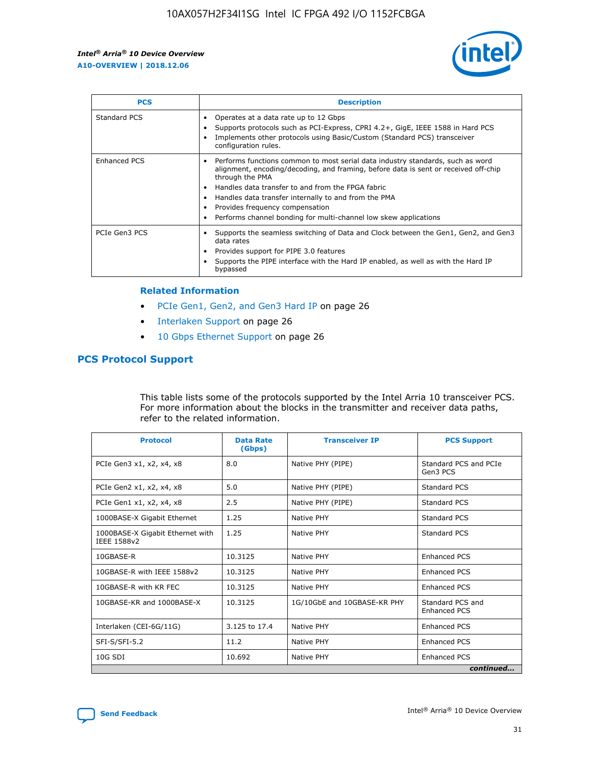

| <b>PCS</b>    | <b>Description</b>                                                                                                                                                                                                                                                                                                                                                                                             |
|---------------|----------------------------------------------------------------------------------------------------------------------------------------------------------------------------------------------------------------------------------------------------------------------------------------------------------------------------------------------------------------------------------------------------------------|
| Standard PCS  | Operates at a data rate up to 12 Gbps<br>Supports protocols such as PCI-Express, CPRI 4.2+, GigE, IEEE 1588 in Hard PCS<br>Implements other protocols using Basic/Custom (Standard PCS) transceiver<br>configuration rules.                                                                                                                                                                                    |
| Enhanced PCS  | Performs functions common to most serial data industry standards, such as word<br>alignment, encoding/decoding, and framing, before data is sent or received off-chip<br>through the PMA<br>• Handles data transfer to and from the FPGA fabric<br>Handles data transfer internally to and from the PMA<br>Provides frequency compensation<br>Performs channel bonding for multi-channel low skew applications |
| PCIe Gen3 PCS | Supports the seamless switching of Data and Clock between the Gen1, Gen2, and Gen3<br>data rates<br>Provides support for PIPE 3.0 features<br>Supports the PIPE interface with the Hard IP enabled, as well as with the Hard IP<br>bypassed                                                                                                                                                                    |

#### **Related Information**

- PCIe Gen1, Gen2, and Gen3 Hard IP on page 26
- Interlaken Support on page 26
- 10 Gbps Ethernet Support on page 26

## **PCS Protocol Support**

This table lists some of the protocols supported by the Intel Arria 10 transceiver PCS. For more information about the blocks in the transmitter and receiver data paths, refer to the related information.

| <b>Protocol</b>                                 | <b>Data Rate</b><br>(Gbps) | <b>Transceiver IP</b>       | <b>PCS Support</b>                      |
|-------------------------------------------------|----------------------------|-----------------------------|-----------------------------------------|
| PCIe Gen3 x1, x2, x4, x8                        | 8.0                        | Native PHY (PIPE)           | Standard PCS and PCIe<br>Gen3 PCS       |
| PCIe Gen2 x1, x2, x4, x8                        | 5.0                        | Native PHY (PIPE)           | <b>Standard PCS</b>                     |
| PCIe Gen1 x1, x2, x4, x8                        | 2.5                        | Native PHY (PIPE)           | Standard PCS                            |
| 1000BASE-X Gigabit Ethernet                     | 1.25                       | Native PHY                  | <b>Standard PCS</b>                     |
| 1000BASE-X Gigabit Ethernet with<br>IEEE 1588v2 | 1.25                       | Native PHY                  | Standard PCS                            |
| 10GBASE-R                                       | 10.3125                    | Native PHY                  | <b>Enhanced PCS</b>                     |
| 10GBASE-R with IEEE 1588v2                      | 10.3125                    | Native PHY                  | <b>Enhanced PCS</b>                     |
| 10GBASE-R with KR FEC                           | 10.3125                    | Native PHY                  | <b>Enhanced PCS</b>                     |
| 10GBASE-KR and 1000BASE-X                       | 10.3125                    | 1G/10GbE and 10GBASE-KR PHY | Standard PCS and<br><b>Enhanced PCS</b> |
| Interlaken (CEI-6G/11G)                         | 3.125 to 17.4              | Native PHY                  | <b>Enhanced PCS</b>                     |
| SFI-S/SFI-5.2                                   | 11.2                       | Native PHY                  | <b>Enhanced PCS</b>                     |
| $10G$ SDI                                       | 10.692                     | Native PHY                  | <b>Enhanced PCS</b>                     |
|                                                 |                            |                             | continued                               |

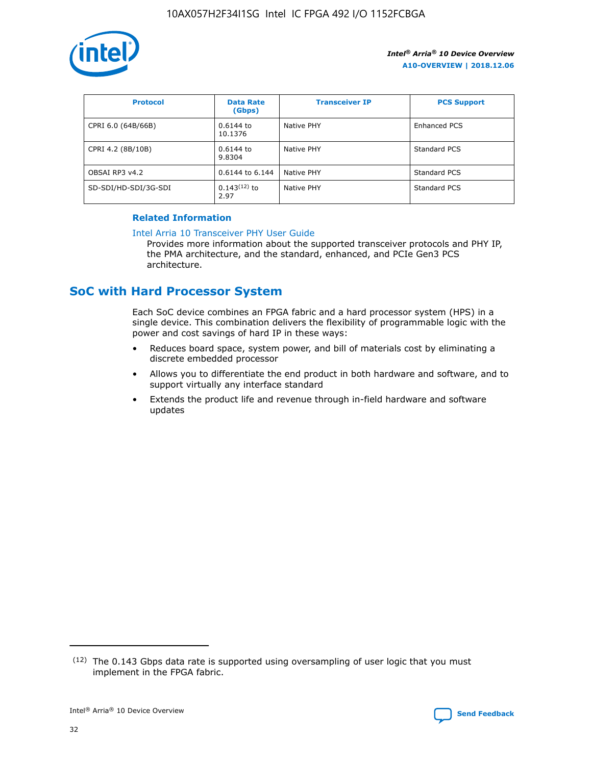

| <b>Protocol</b>      | <b>Data Rate</b><br>(Gbps) | <b>Transceiver IP</b> | <b>PCS Support</b> |
|----------------------|----------------------------|-----------------------|--------------------|
| CPRI 6.0 (64B/66B)   | 0.6144 to<br>10.1376       | Native PHY            | Enhanced PCS       |
| CPRI 4.2 (8B/10B)    | $0.6144$ to<br>9.8304      | Native PHY            | Standard PCS       |
| OBSAI RP3 v4.2       | 0.6144 to 6.144            | Native PHY            | Standard PCS       |
| SD-SDI/HD-SDI/3G-SDI | $0.143(12)$ to<br>2.97     | Native PHY            | Standard PCS       |

## **Related Information**

#### [Intel Arria 10 Transceiver PHY User Guide](https://www.intel.com/content/www/us/en/programmable/documentation/nik1398707230472.html#nik1398707091164)

Provides more information about the supported transceiver protocols and PHY IP, the PMA architecture, and the standard, enhanced, and PCIe Gen3 PCS architecture.

## **SoC with Hard Processor System**

Each SoC device combines an FPGA fabric and a hard processor system (HPS) in a single device. This combination delivers the flexibility of programmable logic with the power and cost savings of hard IP in these ways:

- Reduces board space, system power, and bill of materials cost by eliminating a discrete embedded processor
- Allows you to differentiate the end product in both hardware and software, and to support virtually any interface standard
- Extends the product life and revenue through in-field hardware and software updates

 $(12)$  The 0.143 Gbps data rate is supported using oversampling of user logic that you must implement in the FPGA fabric.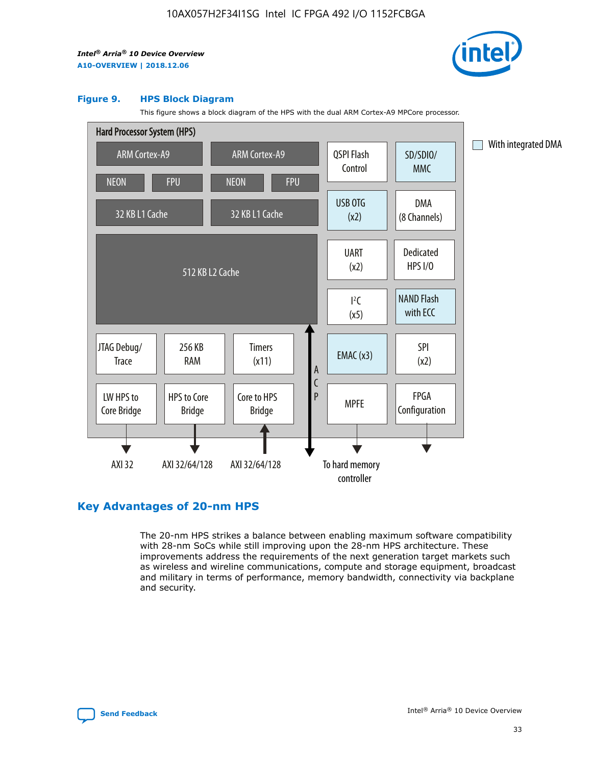

#### **Figure 9. HPS Block Diagram**

This figure shows a block diagram of the HPS with the dual ARM Cortex-A9 MPCore processor.



## **Key Advantages of 20-nm HPS**

The 20-nm HPS strikes a balance between enabling maximum software compatibility with 28-nm SoCs while still improving upon the 28-nm HPS architecture. These improvements address the requirements of the next generation target markets such as wireless and wireline communications, compute and storage equipment, broadcast and military in terms of performance, memory bandwidth, connectivity via backplane and security.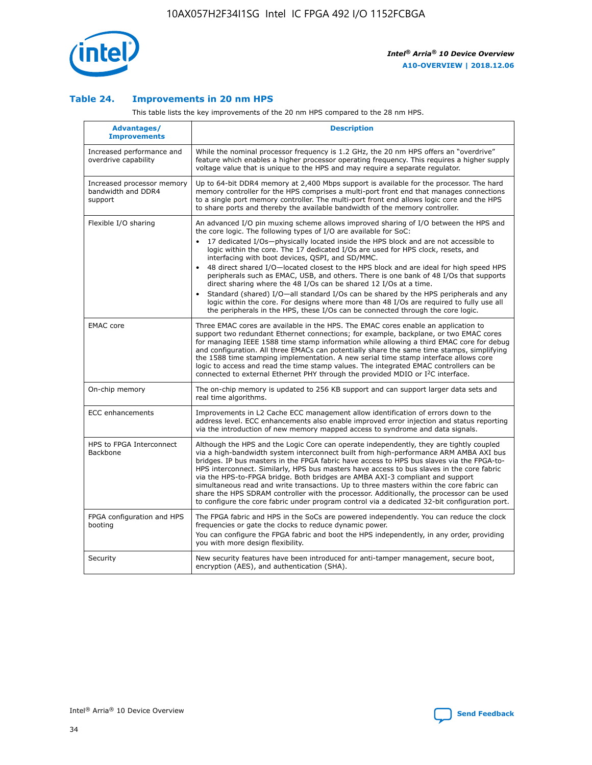

## **Table 24. Improvements in 20 nm HPS**

This table lists the key improvements of the 20 nm HPS compared to the 28 nm HPS.

| Advantages/<br><b>Improvements</b>                          | <b>Description</b>                                                                                                                                                                                                                                                                                                                                                                                                                                                                                                                                                                                                                                                                                                                                                                                                                                                                                                      |
|-------------------------------------------------------------|-------------------------------------------------------------------------------------------------------------------------------------------------------------------------------------------------------------------------------------------------------------------------------------------------------------------------------------------------------------------------------------------------------------------------------------------------------------------------------------------------------------------------------------------------------------------------------------------------------------------------------------------------------------------------------------------------------------------------------------------------------------------------------------------------------------------------------------------------------------------------------------------------------------------------|
| Increased performance and<br>overdrive capability           | While the nominal processor frequency is 1.2 GHz, the 20 nm HPS offers an "overdrive"<br>feature which enables a higher processor operating frequency. This requires a higher supply<br>voltage value that is unique to the HPS and may require a separate regulator.                                                                                                                                                                                                                                                                                                                                                                                                                                                                                                                                                                                                                                                   |
| Increased processor memory<br>bandwidth and DDR4<br>support | Up to 64-bit DDR4 memory at 2,400 Mbps support is available for the processor. The hard<br>memory controller for the HPS comprises a multi-port front end that manages connections<br>to a single port memory controller. The multi-port front end allows logic core and the HPS<br>to share ports and thereby the available bandwidth of the memory controller.                                                                                                                                                                                                                                                                                                                                                                                                                                                                                                                                                        |
| Flexible I/O sharing                                        | An advanced I/O pin muxing scheme allows improved sharing of I/O between the HPS and<br>the core logic. The following types of I/O are available for SoC:<br>17 dedicated I/Os-physically located inside the HPS block and are not accessible to<br>logic within the core. The 17 dedicated I/Os are used for HPS clock, resets, and<br>interfacing with boot devices, QSPI, and SD/MMC.<br>48 direct shared I/O-located closest to the HPS block and are ideal for high speed HPS<br>peripherals such as EMAC, USB, and others. There is one bank of 48 I/Os that supports<br>direct sharing where the 48 I/Os can be shared 12 I/Os at a time.<br>Standard (shared) I/O—all standard I/Os can be shared by the HPS peripherals and any<br>logic within the core. For designs where more than 48 I/Os are required to fully use all<br>the peripherals in the HPS, these I/Os can be connected through the core logic. |
| <b>EMAC</b> core                                            | Three EMAC cores are available in the HPS. The EMAC cores enable an application to<br>support two redundant Ethernet connections; for example, backplane, or two EMAC cores<br>for managing IEEE 1588 time stamp information while allowing a third EMAC core for debug<br>and configuration. All three EMACs can potentially share the same time stamps, simplifying<br>the 1588 time stamping implementation. A new serial time stamp interface allows core<br>logic to access and read the time stamp values. The integrated EMAC controllers can be<br>connected to external Ethernet PHY through the provided MDIO or I <sup>2</sup> C interface.                                                                                                                                                                                                                                                                  |
| On-chip memory                                              | The on-chip memory is updated to 256 KB support and can support larger data sets and<br>real time algorithms.                                                                                                                                                                                                                                                                                                                                                                                                                                                                                                                                                                                                                                                                                                                                                                                                           |
| <b>ECC</b> enhancements                                     | Improvements in L2 Cache ECC management allow identification of errors down to the<br>address level. ECC enhancements also enable improved error injection and status reporting<br>via the introduction of new memory mapped access to syndrome and data signals.                                                                                                                                                                                                                                                                                                                                                                                                                                                                                                                                                                                                                                                       |
| HPS to FPGA Interconnect<br>Backbone                        | Although the HPS and the Logic Core can operate independently, they are tightly coupled<br>via a high-bandwidth system interconnect built from high-performance ARM AMBA AXI bus<br>bridges. IP bus masters in the FPGA fabric have access to HPS bus slaves via the FPGA-to-<br>HPS interconnect. Similarly, HPS bus masters have access to bus slaves in the core fabric<br>via the HPS-to-FPGA bridge. Both bridges are AMBA AXI-3 compliant and support<br>simultaneous read and write transactions. Up to three masters within the core fabric can<br>share the HPS SDRAM controller with the processor. Additionally, the processor can be used<br>to configure the core fabric under program control via a dedicated 32-bit configuration port.                                                                                                                                                                  |
| FPGA configuration and HPS<br>booting                       | The FPGA fabric and HPS in the SoCs are powered independently. You can reduce the clock<br>frequencies or gate the clocks to reduce dynamic power.<br>You can configure the FPGA fabric and boot the HPS independently, in any order, providing<br>you with more design flexibility.                                                                                                                                                                                                                                                                                                                                                                                                                                                                                                                                                                                                                                    |
| Security                                                    | New security features have been introduced for anti-tamper management, secure boot,<br>encryption (AES), and authentication (SHA).                                                                                                                                                                                                                                                                                                                                                                                                                                                                                                                                                                                                                                                                                                                                                                                      |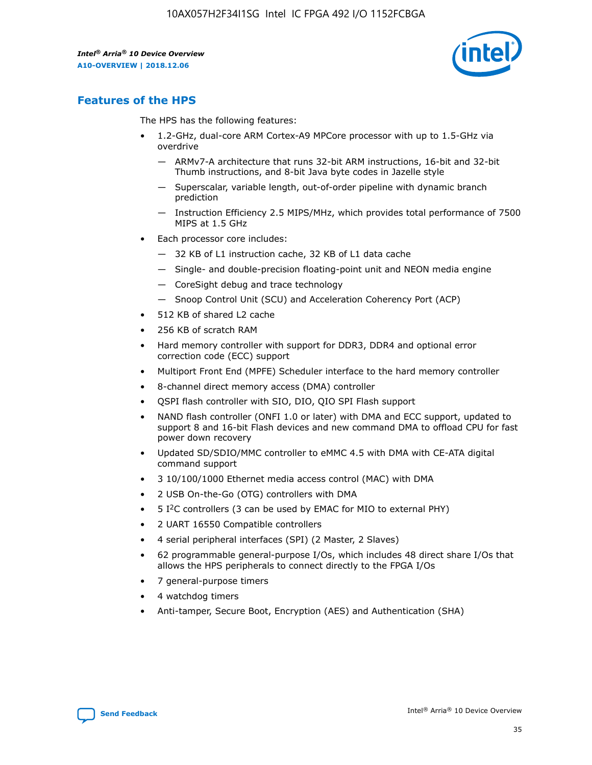

## **Features of the HPS**

The HPS has the following features:

- 1.2-GHz, dual-core ARM Cortex-A9 MPCore processor with up to 1.5-GHz via overdrive
	- ARMv7-A architecture that runs 32-bit ARM instructions, 16-bit and 32-bit Thumb instructions, and 8-bit Java byte codes in Jazelle style
	- Superscalar, variable length, out-of-order pipeline with dynamic branch prediction
	- Instruction Efficiency 2.5 MIPS/MHz, which provides total performance of 7500 MIPS at 1.5 GHz
- Each processor core includes:
	- 32 KB of L1 instruction cache, 32 KB of L1 data cache
	- Single- and double-precision floating-point unit and NEON media engine
	- CoreSight debug and trace technology
	- Snoop Control Unit (SCU) and Acceleration Coherency Port (ACP)
- 512 KB of shared L2 cache
- 256 KB of scratch RAM
- Hard memory controller with support for DDR3, DDR4 and optional error correction code (ECC) support
- Multiport Front End (MPFE) Scheduler interface to the hard memory controller
- 8-channel direct memory access (DMA) controller
- QSPI flash controller with SIO, DIO, QIO SPI Flash support
- NAND flash controller (ONFI 1.0 or later) with DMA and ECC support, updated to support 8 and 16-bit Flash devices and new command DMA to offload CPU for fast power down recovery
- Updated SD/SDIO/MMC controller to eMMC 4.5 with DMA with CE-ATA digital command support
- 3 10/100/1000 Ethernet media access control (MAC) with DMA
- 2 USB On-the-Go (OTG) controllers with DMA
- $\bullet$  5 I<sup>2</sup>C controllers (3 can be used by EMAC for MIO to external PHY)
- 2 UART 16550 Compatible controllers
- 4 serial peripheral interfaces (SPI) (2 Master, 2 Slaves)
- 62 programmable general-purpose I/Os, which includes 48 direct share I/Os that allows the HPS peripherals to connect directly to the FPGA I/Os
- 7 general-purpose timers
- 4 watchdog timers
- Anti-tamper, Secure Boot, Encryption (AES) and Authentication (SHA)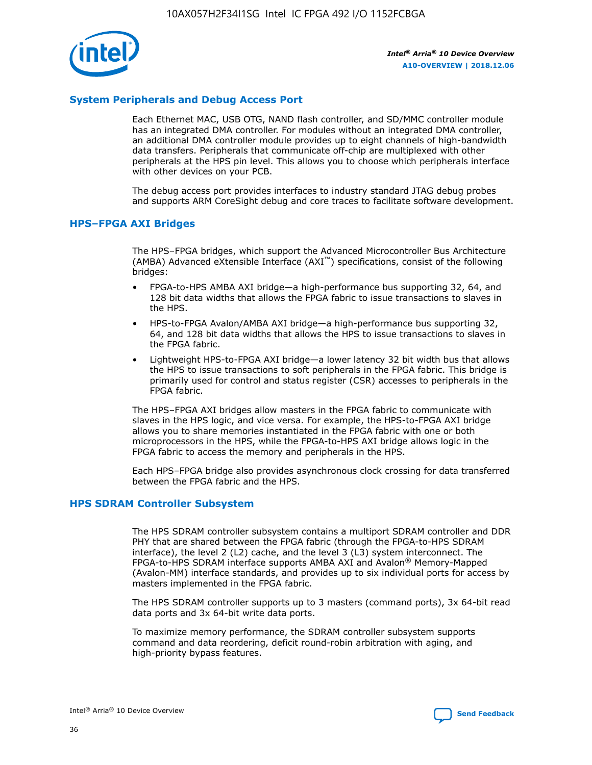

## **System Peripherals and Debug Access Port**

Each Ethernet MAC, USB OTG, NAND flash controller, and SD/MMC controller module has an integrated DMA controller. For modules without an integrated DMA controller, an additional DMA controller module provides up to eight channels of high-bandwidth data transfers. Peripherals that communicate off-chip are multiplexed with other peripherals at the HPS pin level. This allows you to choose which peripherals interface with other devices on your PCB.

The debug access port provides interfaces to industry standard JTAG debug probes and supports ARM CoreSight debug and core traces to facilitate software development.

## **HPS–FPGA AXI Bridges**

The HPS–FPGA bridges, which support the Advanced Microcontroller Bus Architecture (AMBA) Advanced eXtensible Interface (AXI™) specifications, consist of the following bridges:

- FPGA-to-HPS AMBA AXI bridge—a high-performance bus supporting 32, 64, and 128 bit data widths that allows the FPGA fabric to issue transactions to slaves in the HPS.
- HPS-to-FPGA Avalon/AMBA AXI bridge—a high-performance bus supporting 32, 64, and 128 bit data widths that allows the HPS to issue transactions to slaves in the FPGA fabric.
- Lightweight HPS-to-FPGA AXI bridge—a lower latency 32 bit width bus that allows the HPS to issue transactions to soft peripherals in the FPGA fabric. This bridge is primarily used for control and status register (CSR) accesses to peripherals in the FPGA fabric.

The HPS–FPGA AXI bridges allow masters in the FPGA fabric to communicate with slaves in the HPS logic, and vice versa. For example, the HPS-to-FPGA AXI bridge allows you to share memories instantiated in the FPGA fabric with one or both microprocessors in the HPS, while the FPGA-to-HPS AXI bridge allows logic in the FPGA fabric to access the memory and peripherals in the HPS.

Each HPS–FPGA bridge also provides asynchronous clock crossing for data transferred between the FPGA fabric and the HPS.

#### **HPS SDRAM Controller Subsystem**

The HPS SDRAM controller subsystem contains a multiport SDRAM controller and DDR PHY that are shared between the FPGA fabric (through the FPGA-to-HPS SDRAM interface), the level 2 (L2) cache, and the level 3 (L3) system interconnect. The FPGA-to-HPS SDRAM interface supports AMBA AXI and Avalon® Memory-Mapped (Avalon-MM) interface standards, and provides up to six individual ports for access by masters implemented in the FPGA fabric.

The HPS SDRAM controller supports up to 3 masters (command ports), 3x 64-bit read data ports and 3x 64-bit write data ports.

To maximize memory performance, the SDRAM controller subsystem supports command and data reordering, deficit round-robin arbitration with aging, and high-priority bypass features.

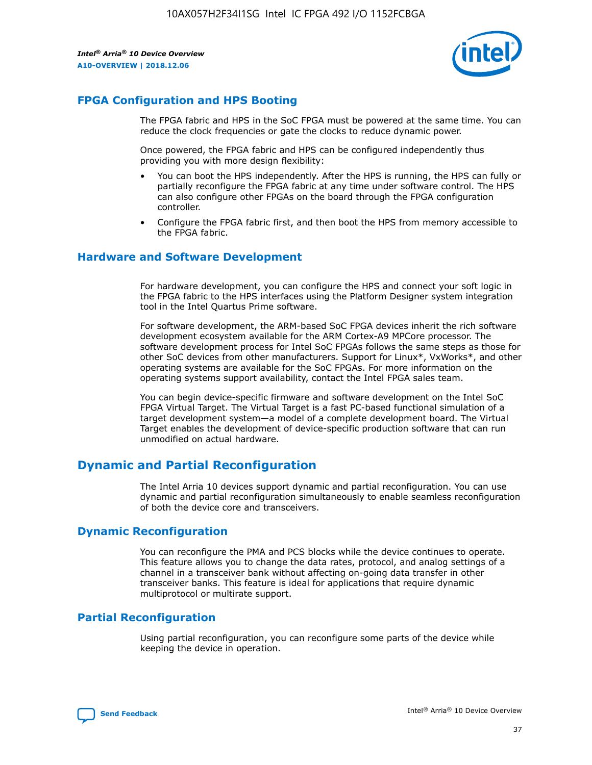

## **FPGA Configuration and HPS Booting**

The FPGA fabric and HPS in the SoC FPGA must be powered at the same time. You can reduce the clock frequencies or gate the clocks to reduce dynamic power.

Once powered, the FPGA fabric and HPS can be configured independently thus providing you with more design flexibility:

- You can boot the HPS independently. After the HPS is running, the HPS can fully or partially reconfigure the FPGA fabric at any time under software control. The HPS can also configure other FPGAs on the board through the FPGA configuration controller.
- Configure the FPGA fabric first, and then boot the HPS from memory accessible to the FPGA fabric.

## **Hardware and Software Development**

For hardware development, you can configure the HPS and connect your soft logic in the FPGA fabric to the HPS interfaces using the Platform Designer system integration tool in the Intel Quartus Prime software.

For software development, the ARM-based SoC FPGA devices inherit the rich software development ecosystem available for the ARM Cortex-A9 MPCore processor. The software development process for Intel SoC FPGAs follows the same steps as those for other SoC devices from other manufacturers. Support for Linux\*, VxWorks\*, and other operating systems are available for the SoC FPGAs. For more information on the operating systems support availability, contact the Intel FPGA sales team.

You can begin device-specific firmware and software development on the Intel SoC FPGA Virtual Target. The Virtual Target is a fast PC-based functional simulation of a target development system—a model of a complete development board. The Virtual Target enables the development of device-specific production software that can run unmodified on actual hardware.

## **Dynamic and Partial Reconfiguration**

The Intel Arria 10 devices support dynamic and partial reconfiguration. You can use dynamic and partial reconfiguration simultaneously to enable seamless reconfiguration of both the device core and transceivers.

## **Dynamic Reconfiguration**

You can reconfigure the PMA and PCS blocks while the device continues to operate. This feature allows you to change the data rates, protocol, and analog settings of a channel in a transceiver bank without affecting on-going data transfer in other transceiver banks. This feature is ideal for applications that require dynamic multiprotocol or multirate support.

## **Partial Reconfiguration**

Using partial reconfiguration, you can reconfigure some parts of the device while keeping the device in operation.

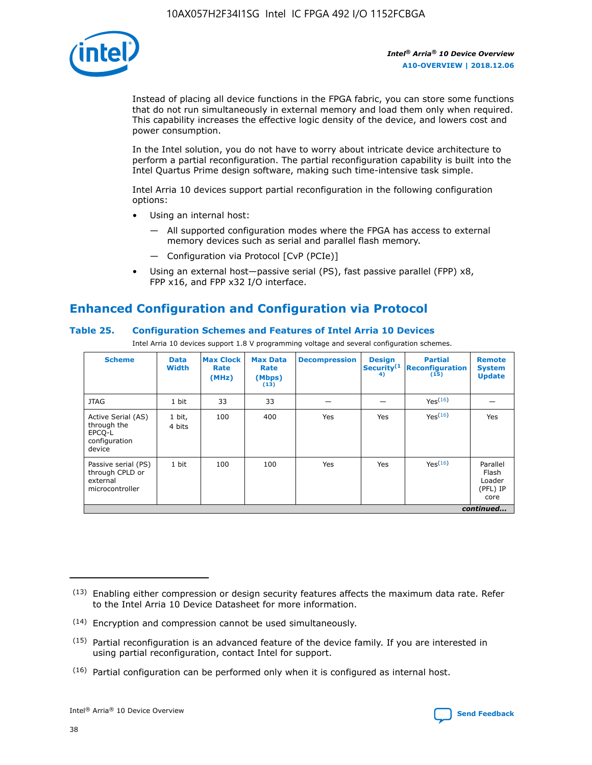

Instead of placing all device functions in the FPGA fabric, you can store some functions that do not run simultaneously in external memory and load them only when required. This capability increases the effective logic density of the device, and lowers cost and power consumption.

In the Intel solution, you do not have to worry about intricate device architecture to perform a partial reconfiguration. The partial reconfiguration capability is built into the Intel Quartus Prime design software, making such time-intensive task simple.

Intel Arria 10 devices support partial reconfiguration in the following configuration options:

- Using an internal host:
	- All supported configuration modes where the FPGA has access to external memory devices such as serial and parallel flash memory.
	- Configuration via Protocol [CvP (PCIe)]
- Using an external host—passive serial (PS), fast passive parallel (FPP) x8, FPP x16, and FPP x32 I/O interface.

# **Enhanced Configuration and Configuration via Protocol**

## **Table 25. Configuration Schemes and Features of Intel Arria 10 Devices**

Intel Arria 10 devices support 1.8 V programming voltage and several configuration schemes.

| <b>Scheme</b>                                                          | <b>Data</b><br><b>Width</b> | <b>Max Clock</b><br>Rate<br>(MHz) | <b>Max Data</b><br>Rate<br>(Mbps)<br>(13) | <b>Decompression</b> | <b>Design</b><br>Security <sup>(1</sup><br>4) | <b>Partial</b><br><b>Reconfiguration</b><br>(15) | <b>Remote</b><br><b>System</b><br><b>Update</b> |
|------------------------------------------------------------------------|-----------------------------|-----------------------------------|-------------------------------------------|----------------------|-----------------------------------------------|--------------------------------------------------|-------------------------------------------------|
| <b>JTAG</b>                                                            | 1 bit                       | 33                                | 33                                        |                      |                                               | Yes(16)                                          |                                                 |
| Active Serial (AS)<br>through the<br>EPCO-L<br>configuration<br>device | 1 bit,<br>4 bits            | 100                               | 400                                       | Yes                  | Yes                                           | $Y_{PS}(16)$                                     | Yes                                             |
| Passive serial (PS)<br>through CPLD or<br>external<br>microcontroller  | 1 bit                       | 100                               | 100                                       | Yes                  | Yes                                           | Yes(16)                                          | Parallel<br>Flash<br>Loader<br>(PFL) IP<br>core |
|                                                                        |                             |                                   |                                           |                      |                                               |                                                  | continued                                       |

<sup>(13)</sup> Enabling either compression or design security features affects the maximum data rate. Refer to the Intel Arria 10 Device Datasheet for more information.

<sup>(14)</sup> Encryption and compression cannot be used simultaneously.

 $<sup>(15)</sup>$  Partial reconfiguration is an advanced feature of the device family. If you are interested in</sup> using partial reconfiguration, contact Intel for support.

 $(16)$  Partial configuration can be performed only when it is configured as internal host.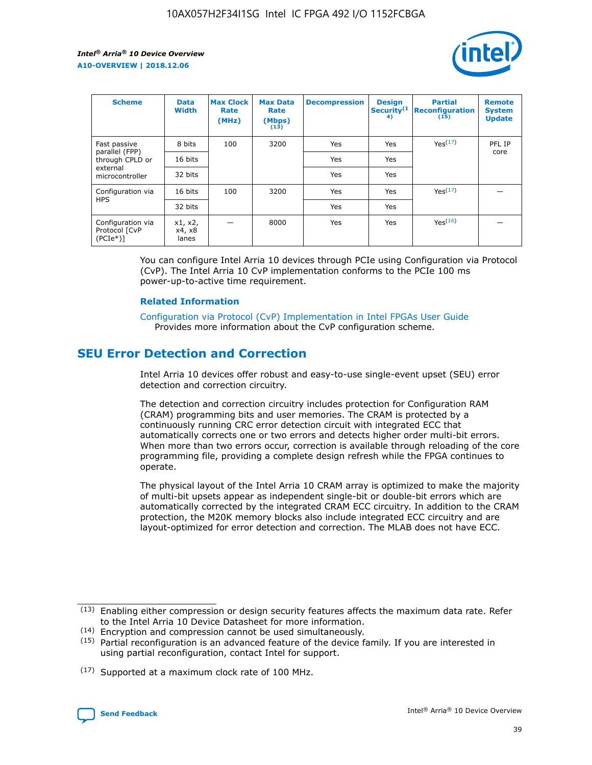

| <b>Scheme</b>                                    | <b>Data</b><br><b>Width</b> | <b>Max Clock</b><br>Rate<br>(MHz) | <b>Max Data</b><br>Rate<br>(Mbps)<br>(13) | <b>Decompression</b> | <b>Design</b><br>Security <sup>(1</sup><br>4) | <b>Partial</b><br><b>Reconfiguration</b><br>(15) | <b>Remote</b><br><b>System</b><br><b>Update</b> |
|--------------------------------------------------|-----------------------------|-----------------------------------|-------------------------------------------|----------------------|-----------------------------------------------|--------------------------------------------------|-------------------------------------------------|
| Fast passive                                     | 8 bits                      | 100                               | 3200                                      | Yes                  | Yes                                           | Yes(17)                                          | PFL IP                                          |
| parallel (FPP)<br>through CPLD or                | 16 bits                     |                                   |                                           | Yes                  | Yes                                           |                                                  | core                                            |
| external<br>microcontroller                      | 32 bits                     |                                   |                                           | Yes                  | Yes                                           |                                                  |                                                 |
| Configuration via                                | 16 bits                     | 100                               | 3200                                      | Yes                  | Yes                                           | Yes <sup>(17)</sup>                              |                                                 |
| <b>HPS</b>                                       | 32 bits                     |                                   |                                           | Yes                  | Yes                                           |                                                  |                                                 |
| Configuration via<br>Protocol [CvP<br>$(PCIe^*)$ | x1, x2,<br>x4, x8<br>lanes  |                                   | 8000                                      | Yes                  | Yes                                           | Yes <sup>(16)</sup>                              |                                                 |

You can configure Intel Arria 10 devices through PCIe using Configuration via Protocol (CvP). The Intel Arria 10 CvP implementation conforms to the PCIe 100 ms power-up-to-active time requirement.

#### **Related Information**

[Configuration via Protocol \(CvP\) Implementation in Intel FPGAs User Guide](https://www.intel.com/content/www/us/en/programmable/documentation/dsu1441819344145.html#dsu1442269728522) Provides more information about the CvP configuration scheme.

## **SEU Error Detection and Correction**

Intel Arria 10 devices offer robust and easy-to-use single-event upset (SEU) error detection and correction circuitry.

The detection and correction circuitry includes protection for Configuration RAM (CRAM) programming bits and user memories. The CRAM is protected by a continuously running CRC error detection circuit with integrated ECC that automatically corrects one or two errors and detects higher order multi-bit errors. When more than two errors occur, correction is available through reloading of the core programming file, providing a complete design refresh while the FPGA continues to operate.

The physical layout of the Intel Arria 10 CRAM array is optimized to make the majority of multi-bit upsets appear as independent single-bit or double-bit errors which are automatically corrected by the integrated CRAM ECC circuitry. In addition to the CRAM protection, the M20K memory blocks also include integrated ECC circuitry and are layout-optimized for error detection and correction. The MLAB does not have ECC.

(14) Encryption and compression cannot be used simultaneously.

<sup>(17)</sup> Supported at a maximum clock rate of 100 MHz.



 $(13)$  Enabling either compression or design security features affects the maximum data rate. Refer to the Intel Arria 10 Device Datasheet for more information.

 $(15)$  Partial reconfiguration is an advanced feature of the device family. If you are interested in using partial reconfiguration, contact Intel for support.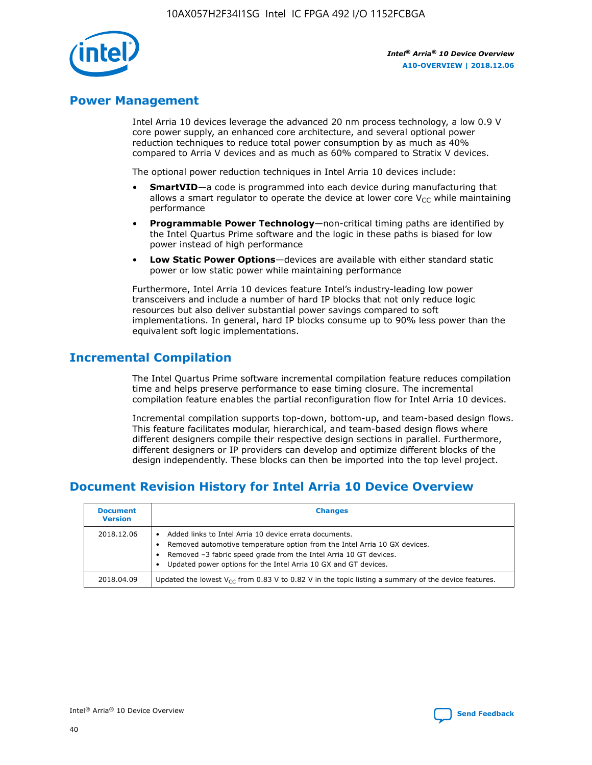

## **Power Management**

Intel Arria 10 devices leverage the advanced 20 nm process technology, a low 0.9 V core power supply, an enhanced core architecture, and several optional power reduction techniques to reduce total power consumption by as much as 40% compared to Arria V devices and as much as 60% compared to Stratix V devices.

The optional power reduction techniques in Intel Arria 10 devices include:

- **SmartVID**—a code is programmed into each device during manufacturing that allows a smart regulator to operate the device at lower core  $V_{CC}$  while maintaining performance
- **Programmable Power Technology**—non-critical timing paths are identified by the Intel Quartus Prime software and the logic in these paths is biased for low power instead of high performance
- **Low Static Power Options**—devices are available with either standard static power or low static power while maintaining performance

Furthermore, Intel Arria 10 devices feature Intel's industry-leading low power transceivers and include a number of hard IP blocks that not only reduce logic resources but also deliver substantial power savings compared to soft implementations. In general, hard IP blocks consume up to 90% less power than the equivalent soft logic implementations.

## **Incremental Compilation**

The Intel Quartus Prime software incremental compilation feature reduces compilation time and helps preserve performance to ease timing closure. The incremental compilation feature enables the partial reconfiguration flow for Intel Arria 10 devices.

Incremental compilation supports top-down, bottom-up, and team-based design flows. This feature facilitates modular, hierarchical, and team-based design flows where different designers compile their respective design sections in parallel. Furthermore, different designers or IP providers can develop and optimize different blocks of the design independently. These blocks can then be imported into the top level project.

# **Document Revision History for Intel Arria 10 Device Overview**

| <b>Document</b><br><b>Version</b> | <b>Changes</b>                                                                                                                                                                                                                                                              |
|-----------------------------------|-----------------------------------------------------------------------------------------------------------------------------------------------------------------------------------------------------------------------------------------------------------------------------|
| 2018.12.06                        | Added links to Intel Arria 10 device errata documents.<br>Removed automotive temperature option from the Intel Arria 10 GX devices.<br>Removed -3 fabric speed grade from the Intel Arria 10 GT devices.<br>Updated power options for the Intel Arria 10 GX and GT devices. |
| 2018.04.09                        | Updated the lowest $V_{CC}$ from 0.83 V to 0.82 V in the topic listing a summary of the device features.                                                                                                                                                                    |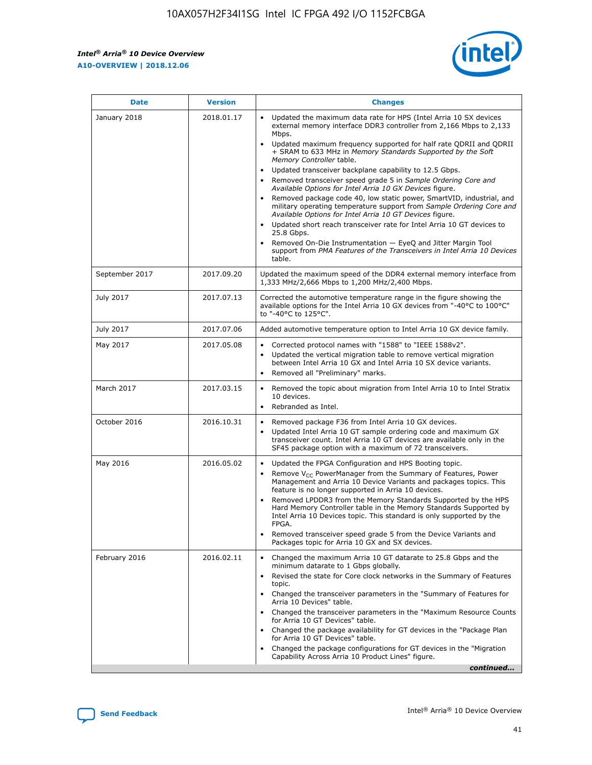*Intel® Arria® 10 Device Overview* **A10-OVERVIEW | 2018.12.06**



| <b>Date</b>    | <b>Version</b> | <b>Changes</b>                                                                                                                                                                                                                                                                                                                                                                                                                                                                                                                                                                                                                                                                                                                                                                                                                                                                                                                                                            |
|----------------|----------------|---------------------------------------------------------------------------------------------------------------------------------------------------------------------------------------------------------------------------------------------------------------------------------------------------------------------------------------------------------------------------------------------------------------------------------------------------------------------------------------------------------------------------------------------------------------------------------------------------------------------------------------------------------------------------------------------------------------------------------------------------------------------------------------------------------------------------------------------------------------------------------------------------------------------------------------------------------------------------|
| January 2018   | 2018.01.17     | Updated the maximum data rate for HPS (Intel Arria 10 SX devices<br>external memory interface DDR3 controller from 2,166 Mbps to 2,133<br>Mbps.<br>Updated maximum frequency supported for half rate QDRII and QDRII<br>+ SRAM to 633 MHz in Memory Standards Supported by the Soft<br>Memory Controller table.<br>Updated transceiver backplane capability to 12.5 Gbps.<br>$\bullet$<br>Removed transceiver speed grade 5 in Sample Ordering Core and<br>Available Options for Intel Arria 10 GX Devices figure.<br>Removed package code 40, low static power, SmartVID, industrial, and<br>military operating temperature support from Sample Ordering Core and<br>Available Options for Intel Arria 10 GT Devices figure.<br>Updated short reach transceiver rate for Intel Arria 10 GT devices to<br>25.8 Gbps.<br>Removed On-Die Instrumentation - EyeQ and Jitter Margin Tool<br>support from PMA Features of the Transceivers in Intel Arria 10 Devices<br>table. |
| September 2017 | 2017.09.20     | Updated the maximum speed of the DDR4 external memory interface from<br>1,333 MHz/2,666 Mbps to 1,200 MHz/2,400 Mbps.                                                                                                                                                                                                                                                                                                                                                                                                                                                                                                                                                                                                                                                                                                                                                                                                                                                     |
| July 2017      | 2017.07.13     | Corrected the automotive temperature range in the figure showing the<br>available options for the Intel Arria 10 GX devices from "-40°C to 100°C"<br>to "-40°C to 125°C".                                                                                                                                                                                                                                                                                                                                                                                                                                                                                                                                                                                                                                                                                                                                                                                                 |
| July 2017      | 2017.07.06     | Added automotive temperature option to Intel Arria 10 GX device family.                                                                                                                                                                                                                                                                                                                                                                                                                                                                                                                                                                                                                                                                                                                                                                                                                                                                                                   |
| May 2017       | 2017.05.08     | Corrected protocol names with "1588" to "IEEE 1588v2".<br>Updated the vertical migration table to remove vertical migration<br>between Intel Arria 10 GX and Intel Arria 10 SX device variants.<br>Removed all "Preliminary" marks.                                                                                                                                                                                                                                                                                                                                                                                                                                                                                                                                                                                                                                                                                                                                       |
| March 2017     | 2017.03.15     | Removed the topic about migration from Intel Arria 10 to Intel Stratix<br>10 devices.<br>Rebranded as Intel.<br>$\bullet$                                                                                                                                                                                                                                                                                                                                                                                                                                                                                                                                                                                                                                                                                                                                                                                                                                                 |
| October 2016   | 2016.10.31     | Removed package F36 from Intel Arria 10 GX devices.<br>Updated Intel Arria 10 GT sample ordering code and maximum GX<br>$\bullet$<br>transceiver count. Intel Arria 10 GT devices are available only in the<br>SF45 package option with a maximum of 72 transceivers.                                                                                                                                                                                                                                                                                                                                                                                                                                                                                                                                                                                                                                                                                                     |
| May 2016       | 2016.05.02     | Updated the FPGA Configuration and HPS Booting topic.<br>Remove V <sub>CC</sub> PowerManager from the Summary of Features, Power<br>Management and Arria 10 Device Variants and packages topics. This<br>feature is no longer supported in Arria 10 devices.<br>Removed LPDDR3 from the Memory Standards Supported by the HPS<br>Hard Memory Controller table in the Memory Standards Supported by<br>Intel Arria 10 Devices topic. This standard is only supported by the<br>FPGA.<br>Removed transceiver speed grade 5 from the Device Variants and<br>Packages topic for Arria 10 GX and SX devices.                                                                                                                                                                                                                                                                                                                                                                   |
| February 2016  | 2016.02.11     | Changed the maximum Arria 10 GT datarate to 25.8 Gbps and the<br>minimum datarate to 1 Gbps globally.<br>Revised the state for Core clock networks in the Summary of Features<br>$\bullet$<br>topic.<br>Changed the transceiver parameters in the "Summary of Features for<br>Arria 10 Devices" table.<br>• Changed the transceiver parameters in the "Maximum Resource Counts<br>for Arria 10 GT Devices" table.<br>• Changed the package availability for GT devices in the "Package Plan<br>for Arria 10 GT Devices" table.<br>Changed the package configurations for GT devices in the "Migration"<br>Capability Across Arria 10 Product Lines" figure.<br>continued                                                                                                                                                                                                                                                                                                  |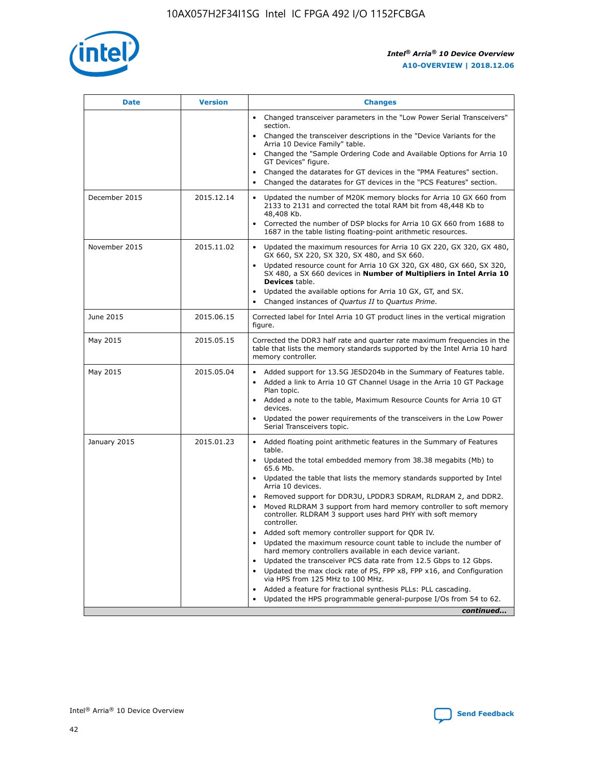

| <b>Date</b>   | <b>Version</b> | <b>Changes</b>                                                                                                                                                               |
|---------------|----------------|------------------------------------------------------------------------------------------------------------------------------------------------------------------------------|
|               |                | • Changed transceiver parameters in the "Low Power Serial Transceivers"<br>section.                                                                                          |
|               |                | • Changed the transceiver descriptions in the "Device Variants for the<br>Arria 10 Device Family" table.                                                                     |
|               |                | Changed the "Sample Ordering Code and Available Options for Arria 10<br>$\bullet$<br>GT Devices" figure.                                                                     |
|               |                | Changed the datarates for GT devices in the "PMA Features" section.                                                                                                          |
|               |                | Changed the datarates for GT devices in the "PCS Features" section.<br>$\bullet$                                                                                             |
| December 2015 | 2015.12.14     | Updated the number of M20K memory blocks for Arria 10 GX 660 from<br>2133 to 2131 and corrected the total RAM bit from 48,448 Kb to<br>48,408 Kb.                            |
|               |                | Corrected the number of DSP blocks for Arria 10 GX 660 from 1688 to<br>1687 in the table listing floating-point arithmetic resources.                                        |
| November 2015 | 2015.11.02     | Updated the maximum resources for Arria 10 GX 220, GX 320, GX 480,<br>$\bullet$<br>GX 660, SX 220, SX 320, SX 480, and SX 660.                                               |
|               |                | • Updated resource count for Arria 10 GX 320, GX 480, GX 660, SX 320,<br>SX 480, a SX 660 devices in Number of Multipliers in Intel Arria 10<br><b>Devices</b> table.        |
|               |                | Updated the available options for Arria 10 GX, GT, and SX.                                                                                                                   |
|               |                | Changed instances of Quartus II to Quartus Prime.<br>$\bullet$                                                                                                               |
| June 2015     | 2015.06.15     | Corrected label for Intel Arria 10 GT product lines in the vertical migration<br>figure.                                                                                     |
| May 2015      | 2015.05.15     | Corrected the DDR3 half rate and quarter rate maximum frequencies in the<br>table that lists the memory standards supported by the Intel Arria 10 hard<br>memory controller. |
| May 2015      | 2015.05.04     | • Added support for 13.5G JESD204b in the Summary of Features table.<br>• Added a link to Arria 10 GT Channel Usage in the Arria 10 GT Package<br>Plan topic.                |
|               |                | • Added a note to the table, Maximum Resource Counts for Arria 10 GT<br>devices.                                                                                             |
|               |                | • Updated the power requirements of the transceivers in the Low Power<br>Serial Transceivers topic.                                                                          |
| January 2015  | 2015.01.23     | • Added floating point arithmetic features in the Summary of Features<br>table.                                                                                              |
|               |                | • Updated the total embedded memory from 38.38 megabits (Mb) to<br>65.6 Mb.                                                                                                  |
|               |                | • Updated the table that lists the memory standards supported by Intel<br>Arria 10 devices.                                                                                  |
|               |                | Removed support for DDR3U, LPDDR3 SDRAM, RLDRAM 2, and DDR2.                                                                                                                 |
|               |                | Moved RLDRAM 3 support from hard memory controller to soft memory<br>controller. RLDRAM 3 support uses hard PHY with soft memory<br>controller.                              |
|               |                | Added soft memory controller support for QDR IV.<br>٠                                                                                                                        |
|               |                | Updated the maximum resource count table to include the number of<br>hard memory controllers available in each device variant.                                               |
|               |                | Updated the transceiver PCS data rate from 12.5 Gbps to 12 Gbps.<br>$\bullet$                                                                                                |
|               |                | Updated the max clock rate of PS, FPP x8, FPP x16, and Configuration<br>via HPS from 125 MHz to 100 MHz.                                                                     |
|               |                | Added a feature for fractional synthesis PLLs: PLL cascading.                                                                                                                |
|               |                | Updated the HPS programmable general-purpose I/Os from 54 to 62.<br>$\bullet$<br>continued                                                                                   |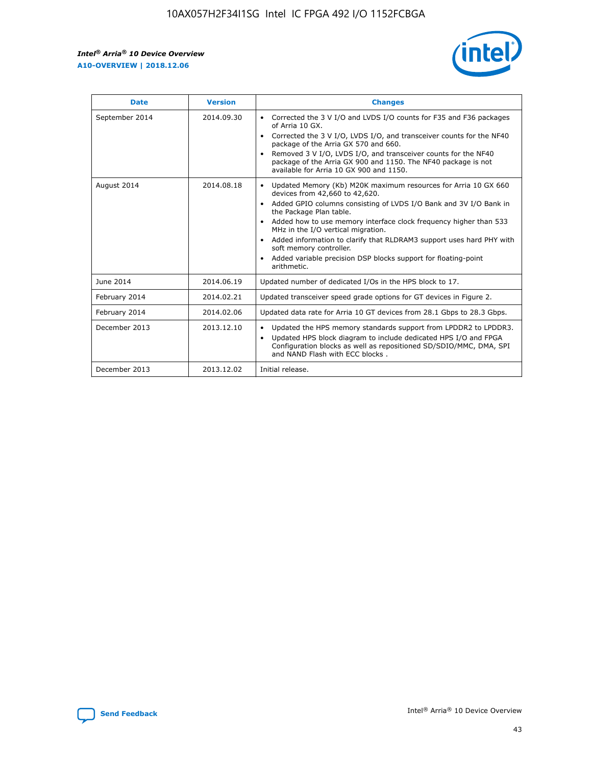r



| <b>Date</b>    | <b>Version</b> | <b>Changes</b>                                                                                                                                                                                                                                                                                                                                                                                                                                                                                                                                      |
|----------------|----------------|-----------------------------------------------------------------------------------------------------------------------------------------------------------------------------------------------------------------------------------------------------------------------------------------------------------------------------------------------------------------------------------------------------------------------------------------------------------------------------------------------------------------------------------------------------|
| September 2014 | 2014.09.30     | Corrected the 3 V I/O and LVDS I/O counts for F35 and F36 packages<br>$\bullet$<br>of Arria 10 GX.<br>Corrected the 3 V I/O, LVDS I/O, and transceiver counts for the NF40<br>$\bullet$<br>package of the Arria GX 570 and 660.<br>Removed 3 V I/O, LVDS I/O, and transceiver counts for the NF40<br>$\bullet$<br>package of the Arria GX 900 and 1150. The NF40 package is not<br>available for Arria 10 GX 900 and 1150.                                                                                                                          |
| August 2014    | 2014.08.18     | Updated Memory (Kb) M20K maximum resources for Arria 10 GX 660<br>devices from 42,660 to 42,620.<br>Added GPIO columns consisting of LVDS I/O Bank and 3V I/O Bank in<br>$\bullet$<br>the Package Plan table.<br>Added how to use memory interface clock frequency higher than 533<br>$\bullet$<br>MHz in the I/O vertical migration.<br>Added information to clarify that RLDRAM3 support uses hard PHY with<br>$\bullet$<br>soft memory controller.<br>Added variable precision DSP blocks support for floating-point<br>$\bullet$<br>arithmetic. |
| June 2014      | 2014.06.19     | Updated number of dedicated I/Os in the HPS block to 17.                                                                                                                                                                                                                                                                                                                                                                                                                                                                                            |
| February 2014  | 2014.02.21     | Updated transceiver speed grade options for GT devices in Figure 2.                                                                                                                                                                                                                                                                                                                                                                                                                                                                                 |
| February 2014  | 2014.02.06     | Updated data rate for Arria 10 GT devices from 28.1 Gbps to 28.3 Gbps.                                                                                                                                                                                                                                                                                                                                                                                                                                                                              |
| December 2013  | 2013.12.10     | Updated the HPS memory standards support from LPDDR2 to LPDDR3.<br>Updated HPS block diagram to include dedicated HPS I/O and FPGA<br>$\bullet$<br>Configuration blocks as well as repositioned SD/SDIO/MMC, DMA, SPI<br>and NAND Flash with ECC blocks.                                                                                                                                                                                                                                                                                            |
| December 2013  | 2013.12.02     | Initial release.                                                                                                                                                                                                                                                                                                                                                                                                                                                                                                                                    |